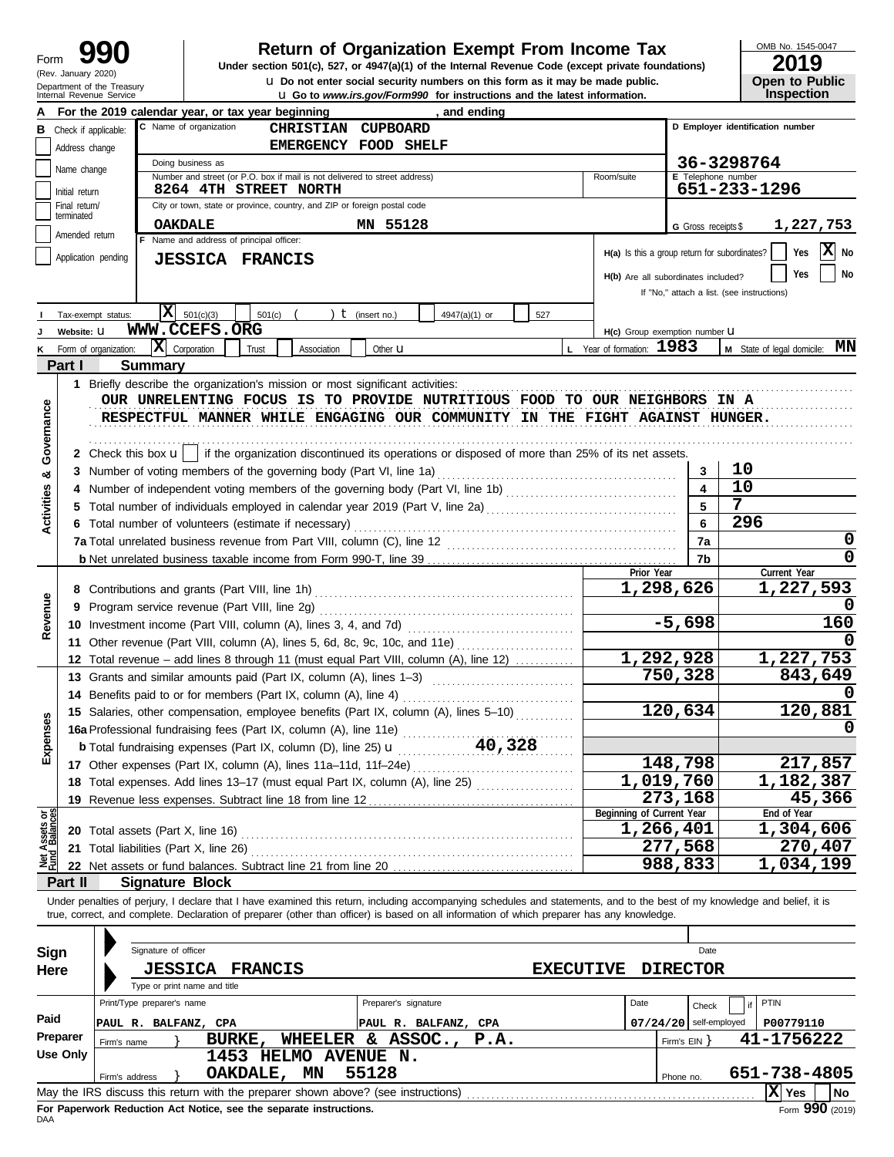| Form                | 990                        |
|---------------------|----------------------------|
| (Rev. January 2020) |                            |
| .                   | Department of the Treasury |

# **Return of Organization Exempt From Income Tax**

Internal Revenue Service u **Go to** *www.irs.gov/Form990* **for instructions and the latest information. u** Do not enter social security numbers on this form as it may be made public.<br> **Open to Public** COV/Form000, for instructions and the latest information **Under section 501(c), 527, or 4947(a)(1) of the Internal Revenue Code (except private foundations)** OMB No. 1545-0047

| 20 I J                |  |
|-----------------------|--|
| <b>Open to Public</b> |  |
|                       |  |
| <b>Inspection</b>     |  |

|                                | плени кеуение эегике                                                        | Q GO to <i>www.ils.gov/Formeed</i> for instructions and the latest imormation.                                                                                                                                                                                                                                           |                                                 | <b>III</b> III DUCTIO                      |  |  |  |  |  |  |  |  |  |
|--------------------------------|-----------------------------------------------------------------------------|--------------------------------------------------------------------------------------------------------------------------------------------------------------------------------------------------------------------------------------------------------------------------------------------------------------------------|-------------------------------------------------|--------------------------------------------|--|--|--|--|--|--|--|--|--|
|                                |                                                                             | For the 2019 calendar year, or tax year beginning<br>, and ending                                                                                                                                                                                                                                                        |                                                 |                                            |  |  |  |  |  |  |  |  |  |
|                                | <b>B</b> Check if applicable:                                               | C Name of organization<br>CHRISTIAN CUPBOARD                                                                                                                                                                                                                                                                             |                                                 | D Employer identification number           |  |  |  |  |  |  |  |  |  |
|                                | Address change                                                              | EMERGENCY FOOD SHELF                                                                                                                                                                                                                                                                                                     |                                                 |                                            |  |  |  |  |  |  |  |  |  |
|                                | Name change                                                                 | Doing business as                                                                                                                                                                                                                                                                                                        |                                                 | 36-3298764                                 |  |  |  |  |  |  |  |  |  |
|                                |                                                                             | Number and street (or P.O. box if mail is not delivered to street address)<br>8264 4TH STREET NORTH                                                                                                                                                                                                                      | Room/suite                                      | E Telephone number<br>651-233-1296         |  |  |  |  |  |  |  |  |  |
|                                | Initial return<br>Final return/                                             | City or town, state or province, country, and ZIP or foreign postal code                                                                                                                                                                                                                                                 |                                                 |                                            |  |  |  |  |  |  |  |  |  |
|                                | terminated                                                                  |                                                                                                                                                                                                                                                                                                                          |                                                 |                                            |  |  |  |  |  |  |  |  |  |
|                                | Amended return                                                              | MN 55128<br>OAKDALE                                                                                                                                                                                                                                                                                                      |                                                 | 1,227,753<br>G Gross receipts \$           |  |  |  |  |  |  |  |  |  |
|                                |                                                                             | Name and address of principal officer:                                                                                                                                                                                                                                                                                   | $H(a)$ Is this a group return for subordinates? | $\mathbf{X}$ No<br>Yes                     |  |  |  |  |  |  |  |  |  |
|                                | Application pending                                                         | <b>JESSICA FRANCIS</b>                                                                                                                                                                                                                                                                                                   |                                                 |                                            |  |  |  |  |  |  |  |  |  |
|                                |                                                                             |                                                                                                                                                                                                                                                                                                                          | H(b) Are all subordinates included?             | No<br>Yes                                  |  |  |  |  |  |  |  |  |  |
|                                |                                                                             |                                                                                                                                                                                                                                                                                                                          |                                                 | If "No," attach a list. (see instructions) |  |  |  |  |  |  |  |  |  |
|                                | Tax-exempt status:                                                          | $\mathbf{X}$ 501(c)(3)<br>$t$ (insert no.)<br>501(c)<br>4947(a)(1) or<br>527                                                                                                                                                                                                                                             |                                                 |                                            |  |  |  |  |  |  |  |  |  |
|                                | Website: U                                                                  | WWW.CCEFS.ORG                                                                                                                                                                                                                                                                                                            | H(c) Group exemption number U                   |                                            |  |  |  |  |  |  |  |  |  |
|                                | Form of organization:                                                       | $ \mathbf{X} $ Corporation<br>Trust<br>Association<br>Other <b>u</b>                                                                                                                                                                                                                                                     | L Year of formation: 1983                       | M State of legal domicile: MN              |  |  |  |  |  |  |  |  |  |
|                                | Part I                                                                      | <b>Summary</b>                                                                                                                                                                                                                                                                                                           |                                                 |                                            |  |  |  |  |  |  |  |  |  |
|                                |                                                                             | 1 Briefly describe the organization's mission or most significant activities:                                                                                                                                                                                                                                            |                                                 |                                            |  |  |  |  |  |  |  |  |  |
|                                |                                                                             | OUR UNRELENTING FOCUS IS TO PROVIDE NUTRITIOUS FOOD TO OUR NEIGHBORS IN A                                                                                                                                                                                                                                                |                                                 |                                            |  |  |  |  |  |  |  |  |  |
|                                | RESPECTFUL MANNER WHILE ENGAGING OUR COMMUNITY IN THE FIGHT AGAINST HUNGER. |                                                                                                                                                                                                                                                                                                                          |                                                 |                                            |  |  |  |  |  |  |  |  |  |
| Governance                     |                                                                             |                                                                                                                                                                                                                                                                                                                          |                                                 |                                            |  |  |  |  |  |  |  |  |  |
|                                |                                                                             | 2 Check this box $\mathbf{u}$   if the organization discontinued its operations or disposed of more than 25% of its net assets.                                                                                                                                                                                          |                                                 |                                            |  |  |  |  |  |  |  |  |  |
|                                |                                                                             | 3 Number of voting members of the governing body (Part VI, line 1a)                                                                                                                                                                                                                                                      | 3                                               | 10                                         |  |  |  |  |  |  |  |  |  |
| ఱ                              | 4                                                                           | Number of independent voting members of the governing body (Part VI, line 1b) [11] [11] Number of independent voting members of the governing body (Part VI, line 1b)                                                                                                                                                    | 4                                               | 10                                         |  |  |  |  |  |  |  |  |  |
|                                |                                                                             |                                                                                                                                                                                                                                                                                                                          |                                                 | 7                                          |  |  |  |  |  |  |  |  |  |
| Activities                     | 5.                                                                          |                                                                                                                                                                                                                                                                                                                          | 5                                               | 296                                        |  |  |  |  |  |  |  |  |  |
|                                |                                                                             | 6 Total number of volunteers (estimate if necessary)                                                                                                                                                                                                                                                                     | 6                                               |                                            |  |  |  |  |  |  |  |  |  |
|                                |                                                                             |                                                                                                                                                                                                                                                                                                                          | 7a                                              | 0                                          |  |  |  |  |  |  |  |  |  |
|                                |                                                                             |                                                                                                                                                                                                                                                                                                                          | 7b                                              | 0                                          |  |  |  |  |  |  |  |  |  |
|                                |                                                                             |                                                                                                                                                                                                                                                                                                                          | Prior Year<br>1,298,626                         | Current Year<br>1,227,593                  |  |  |  |  |  |  |  |  |  |
|                                |                                                                             |                                                                                                                                                                                                                                                                                                                          |                                                 |                                            |  |  |  |  |  |  |  |  |  |
| Revenue                        | 9                                                                           |                                                                                                                                                                                                                                                                                                                          |                                                 | 160                                        |  |  |  |  |  |  |  |  |  |
|                                |                                                                             |                                                                                                                                                                                                                                                                                                                          | $-5,698$                                        |                                            |  |  |  |  |  |  |  |  |  |
|                                |                                                                             | 11 Other revenue (Part VIII, column (A), lines 5, 6d, 8c, 9c, 10c, and 11e)                                                                                                                                                                                                                                              |                                                 |                                            |  |  |  |  |  |  |  |  |  |
|                                | 12                                                                          | Total revenue - add lines 8 through 11 (must equal Part VIII, column (A), line 12)                                                                                                                                                                                                                                       | 1,292,928                                       | 1,227,753                                  |  |  |  |  |  |  |  |  |  |
|                                |                                                                             | 13 Grants and similar amounts paid (Part IX, column (A), lines 1-3)                                                                                                                                                                                                                                                      | 750,328                                         | 843,649                                    |  |  |  |  |  |  |  |  |  |
|                                |                                                                             | Benefits paid to or for members (Part IX, column (A), line 4)                                                                                                                                                                                                                                                            |                                                 |                                            |  |  |  |  |  |  |  |  |  |
|                                |                                                                             | 15 Salaries, other compensation, employee benefits (Part IX, column (A), lines 5-10)                                                                                                                                                                                                                                     | 120,634                                         | 120,881                                    |  |  |  |  |  |  |  |  |  |
| penses                         |                                                                             | 16a Professional fundraising fees (Part IX, column (A), line 11e)                                                                                                                                                                                                                                                        |                                                 |                                            |  |  |  |  |  |  |  |  |  |
| ΕŇ                             |                                                                             | 40,328<br><b>b</b> Total fundraising expenses (Part IX, column (D), line 25) $\mathbf{u}$                                                                                                                                                                                                                                |                                                 |                                            |  |  |  |  |  |  |  |  |  |
|                                |                                                                             |                                                                                                                                                                                                                                                                                                                          | 148,798                                         | 217,857                                    |  |  |  |  |  |  |  |  |  |
|                                |                                                                             | 18 Total expenses. Add lines 13-17 (must equal Part IX, column (A), line 25)                                                                                                                                                                                                                                             | 1,019,760                                       | <u>1,182,387</u>                           |  |  |  |  |  |  |  |  |  |
|                                |                                                                             | 19 Revenue less expenses. Subtract line 18 from line 12                                                                                                                                                                                                                                                                  | 273,168                                         | 45,366                                     |  |  |  |  |  |  |  |  |  |
|                                |                                                                             |                                                                                                                                                                                                                                                                                                                          | Beginning of Current Year<br>1,266,401          | End of Year<br>1,304,606                   |  |  |  |  |  |  |  |  |  |
| Net Assets or<br>Fund Balances |                                                                             |                                                                                                                                                                                                                                                                                                                          | 277,568                                         | 270,407                                    |  |  |  |  |  |  |  |  |  |
|                                | 21                                                                          | Total liabilities (Part X, line 26)                                                                                                                                                                                                                                                                                      | 988,833                                         | 1,034,199                                  |  |  |  |  |  |  |  |  |  |
|                                |                                                                             |                                                                                                                                                                                                                                                                                                                          |                                                 |                                            |  |  |  |  |  |  |  |  |  |
|                                | Part II                                                                     | <b>Signature Block</b>                                                                                                                                                                                                                                                                                                   |                                                 |                                            |  |  |  |  |  |  |  |  |  |
|                                |                                                                             | Under penalties of perjury, I declare that I have examined this return, including accompanying schedules and statements, and to the best of my knowledge and belief, it is<br>true, correct, and complete. Declaration of preparer (other than officer) is based on all information of which preparer has any knowledge. |                                                 |                                            |  |  |  |  |  |  |  |  |  |
|                                |                                                                             |                                                                                                                                                                                                                                                                                                                          |                                                 |                                            |  |  |  |  |  |  |  |  |  |
|                                |                                                                             |                                                                                                                                                                                                                                                                                                                          |                                                 |                                            |  |  |  |  |  |  |  |  |  |
| Sign                           |                                                                             | Signature of officer                                                                                                                                                                                                                                                                                                     |                                                 | Date                                       |  |  |  |  |  |  |  |  |  |
| Here                           |                                                                             | <b>JESSICA</b><br><b>FRANCIS</b><br><b>EXECUTIVE</b>                                                                                                                                                                                                                                                                     | <b>DIRECTOR</b>                                 |                                            |  |  |  |  |  |  |  |  |  |
|                                |                                                                             | Type or print name and title                                                                                                                                                                                                                                                                                             |                                                 |                                            |  |  |  |  |  |  |  |  |  |
|                                |                                                                             | Print/Type preparer's name<br>Preparer's signature                                                                                                                                                                                                                                                                       | Date<br>Check                                   | PTIN                                       |  |  |  |  |  |  |  |  |  |
| Paid                           |                                                                             | PAUL R. BALFANZ, CPA<br>PAUL R. BALFANZ, CPA                                                                                                                                                                                                                                                                             | $07/24/20$ self-employed                        | P00779110                                  |  |  |  |  |  |  |  |  |  |
|                                | Preparer<br>Firm's name                                                     | WHEELER & ASSOC.,<br>BURKE,<br>P.A.                                                                                                                                                                                                                                                                                      | Firm's $EIN$ }                                  | 41-1756222                                 |  |  |  |  |  |  |  |  |  |
|                                | <b>Use Only</b>                                                             | 1453 HELMO AVENUE N.                                                                                                                                                                                                                                                                                                     |                                                 |                                            |  |  |  |  |  |  |  |  |  |
|                                |                                                                             | 55128<br>OAKDALE, MN<br>Firm's address                                                                                                                                                                                                                                                                                   | Phone no.                                       | 651-738-4805                               |  |  |  |  |  |  |  |  |  |
|                                |                                                                             |                                                                                                                                                                                                                                                                                                                          |                                                 | $ X $ Yes<br><b>No</b>                     |  |  |  |  |  |  |  |  |  |

| Sign<br>Here     | Signature of officer<br>JESSICA<br><b>FRANCIS</b><br>Type or print name and title                                                                                                                     | Date<br><b>EXECUTIVE</b><br><b>DIRECTOR</b>                                                  |  |  |  |  |  |  |  |  |  |  |
|------------------|-------------------------------------------------------------------------------------------------------------------------------------------------------------------------------------------------------|----------------------------------------------------------------------------------------------|--|--|--|--|--|--|--|--|--|--|
| Paid<br>Preparer | Preparer's signature<br>Print/Type preparer's name<br>PAUL R. BALFANZ, CPA<br>PAUL R. BALFANZ, CPA<br>WHEELER & ASSOC., P.A.<br>BURKE,<br>Firm's name                                                 | PTIN<br>Date<br>Check<br>$07/24/20$ self-employed<br>P00779110<br>41-1756222<br>Firm's $EIN$ |  |  |  |  |  |  |  |  |  |  |
| Use Only         | 1453<br><b>HELMO</b><br><b>AVENUE N.</b><br>55128<br>ΜN<br><b>OAKDALE,</b><br>Firm's address                                                                                                          | 651-738-4805<br>Phone no.                                                                    |  |  |  |  |  |  |  |  |  |  |
| DAA              | ΙxΙ<br>May the IRS discuss this return with the preparer shown above? (see instructions)<br><b>No</b><br>Yes<br>Form 990 (2019)<br>For Paperwork Reduction Act Notice, see the separate instructions. |                                                                                              |  |  |  |  |  |  |  |  |  |  |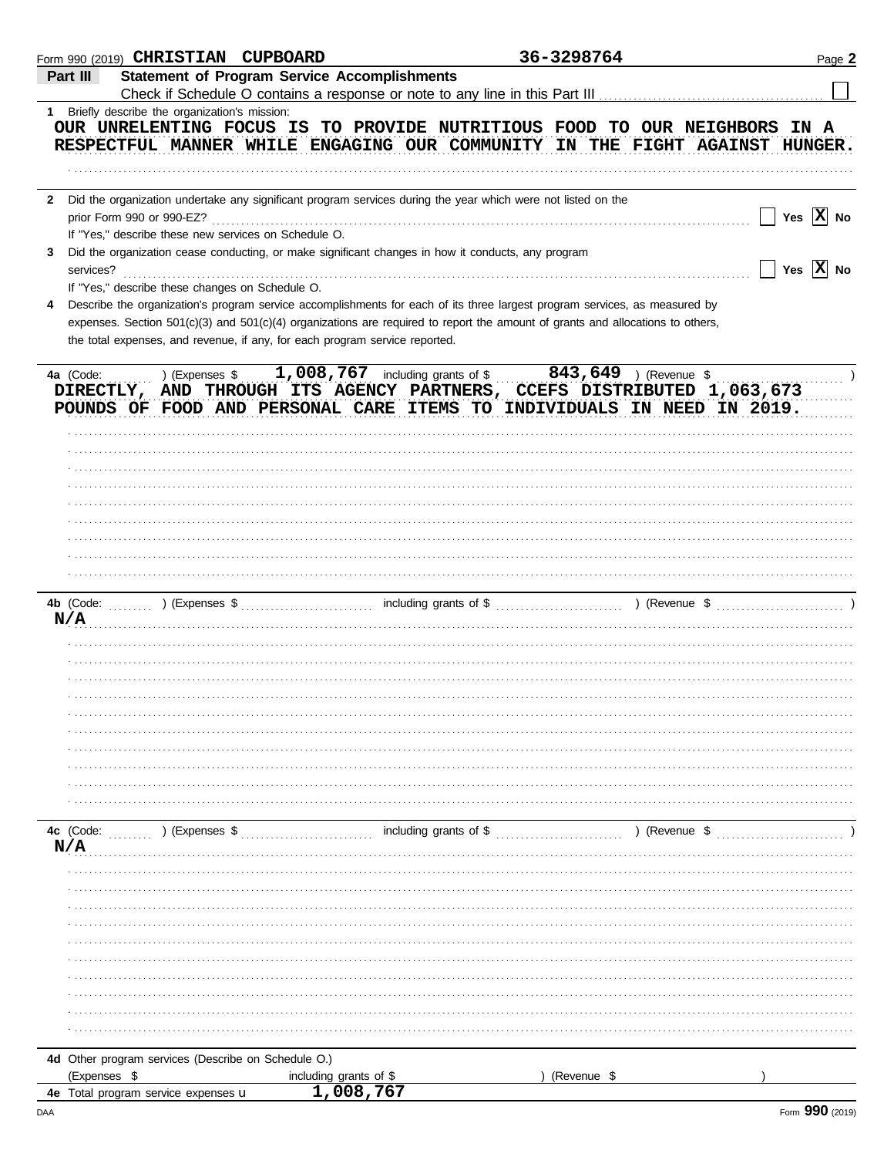|                   |                  | Form 990 (2019) CHRISTIAN CUPBOARD                                                                                                   |                        | 36-3298764                                                                                                                                                                                                                                                                                                                                                                                                                                                                         |  | Page 2                                                      |
|-------------------|------------------|--------------------------------------------------------------------------------------------------------------------------------------|------------------------|------------------------------------------------------------------------------------------------------------------------------------------------------------------------------------------------------------------------------------------------------------------------------------------------------------------------------------------------------------------------------------------------------------------------------------------------------------------------------------|--|-------------------------------------------------------------|
|                   | Part III         | <b>Statement of Program Service Accomplishments</b>                                                                                  |                        |                                                                                                                                                                                                                                                                                                                                                                                                                                                                                    |  |                                                             |
|                   |                  | 1 Briefly describe the organization's mission:                                                                                       |                        | OUR UNRELENTING FOCUS IS TO PROVIDE NUTRITIOUS FOOD TO OUR NEIGHBORS IN A<br>RESPECTFUL MANNER WHILE ENGAGING OUR COMMUNITY IN THE FIGHT AGAINST HUNGER.                                                                                                                                                                                                                                                                                                                           |  |                                                             |
| $\mathbf{2}$<br>3 | services?        | prior Form 990 or 990-EZ?<br>If "Yes," describe these new services on Schedule O.<br>If "Yes," describe these changes on Schedule O. |                        | Did the organization undertake any significant program services during the year which were not listed on the<br>Did the organization cease conducting, or make significant changes in how it conducts, any program<br>Describe the organization's program service accomplishments for each of its three largest program services, as measured by<br>expenses. Section 501(c)(3) and 501(c)(4) organizations are required to report the amount of grants and allocations to others, |  | Yes $\overline{X}$ No<br>$\Box$ Yes $\boxed{\mathbf{X}}$ No |
|                   |                  | the total expenses, and revenue, if any, for each program service reported.                                                          |                        |                                                                                                                                                                                                                                                                                                                                                                                                                                                                                    |  |                                                             |
|                   | 4a (Code:<br>N/A | ) (Expenses \$                                                                                                                       |                        | DIRECTLY, AND THROUGH ITS AGENCY PARTNERS, CCEFS DISTRIBUTED 1,063,673<br>POUNDS OF FOOD AND PERSONAL CARE ITEMS TO INDIVIDUALS IN NEED IN 2019.                                                                                                                                                                                                                                                                                                                                   |  |                                                             |
|                   | N/A              |                                                                                                                                      |                        |                                                                                                                                                                                                                                                                                                                                                                                                                                                                                    |  |                                                             |
|                   |                  |                                                                                                                                      |                        |                                                                                                                                                                                                                                                                                                                                                                                                                                                                                    |  |                                                             |
|                   |                  |                                                                                                                                      |                        |                                                                                                                                                                                                                                                                                                                                                                                                                                                                                    |  |                                                             |
|                   |                  |                                                                                                                                      |                        |                                                                                                                                                                                                                                                                                                                                                                                                                                                                                    |  |                                                             |
|                   |                  |                                                                                                                                      |                        |                                                                                                                                                                                                                                                                                                                                                                                                                                                                                    |  |                                                             |
|                   |                  |                                                                                                                                      |                        |                                                                                                                                                                                                                                                                                                                                                                                                                                                                                    |  |                                                             |
|                   |                  |                                                                                                                                      |                        |                                                                                                                                                                                                                                                                                                                                                                                                                                                                                    |  |                                                             |
|                   |                  |                                                                                                                                      |                        |                                                                                                                                                                                                                                                                                                                                                                                                                                                                                    |  |                                                             |
|                   |                  |                                                                                                                                      |                        |                                                                                                                                                                                                                                                                                                                                                                                                                                                                                    |  |                                                             |
|                   |                  | 4d Other program services (Describe on Schedule O.)                                                                                  |                        |                                                                                                                                                                                                                                                                                                                                                                                                                                                                                    |  |                                                             |
|                   | (Expenses \$     |                                                                                                                                      | including grants of \$ | (Revenue \$                                                                                                                                                                                                                                                                                                                                                                                                                                                                        |  |                                                             |
|                   |                  | 4e Total program service expenses u                                                                                                  | 1,008,767              |                                                                                                                                                                                                                                                                                                                                                                                                                                                                                    |  |                                                             |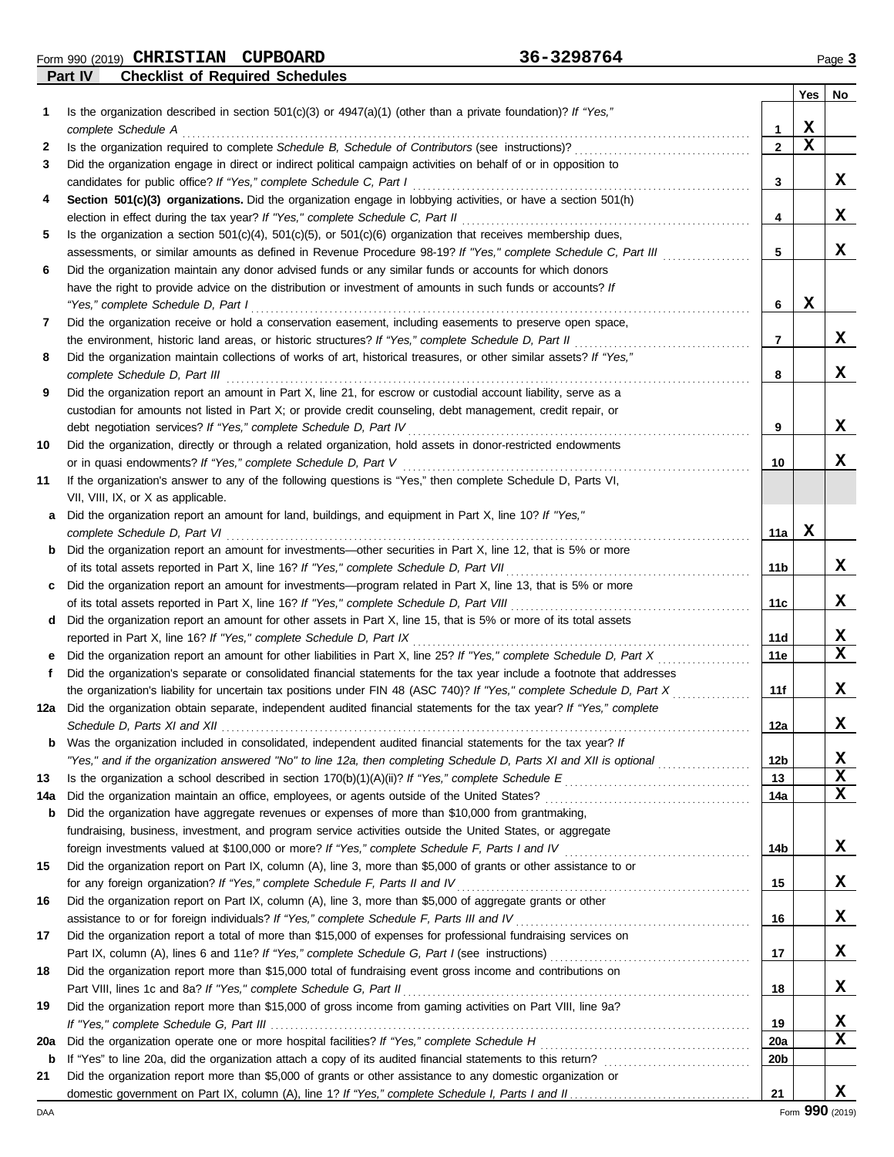**Part IV Checklist of Required Schedules** Form 990 (2019) Page **3 CHRISTIAN CUPBOARD 36-3298764**

|     |                                                                                                                                                                                                   |                 | Yes | No. |
|-----|---------------------------------------------------------------------------------------------------------------------------------------------------------------------------------------------------|-----------------|-----|-----|
| 1   | Is the organization described in section $501(c)(3)$ or $4947(a)(1)$ (other than a private foundation)? If "Yes,"                                                                                 |                 |     |     |
|     | complete Schedule A                                                                                                                                                                               | 1               | х   |     |
| 2   |                                                                                                                                                                                                   | $\mathbf{2}$    | X   |     |
| 3   | Did the organization engage in direct or indirect political campaign activities on behalf of or in opposition to                                                                                  |                 |     |     |
|     | candidates for public office? If "Yes," complete Schedule C, Part I                                                                                                                               | 3               |     | x   |
| 4   | Section 501(c)(3) organizations. Did the organization engage in lobbying activities, or have a section 501(h)                                                                                     |                 |     |     |
|     |                                                                                                                                                                                                   | 4               |     | x   |
| 5   | Is the organization a section $501(c)(4)$ , $501(c)(5)$ , or $501(c)(6)$ organization that receives membership dues,                                                                              |                 |     |     |
|     | assessments, or similar amounts as defined in Revenue Procedure 98-19? If "Yes," complete Schedule C, Part III                                                                                    | 5               |     | x   |
| 6   | Did the organization maintain any donor advised funds or any similar funds or accounts for which donors                                                                                           |                 |     |     |
|     | have the right to provide advice on the distribution or investment of amounts in such funds or accounts? If                                                                                       |                 |     |     |
|     | "Yes," complete Schedule D, Part I                                                                                                                                                                | 6               | х   |     |
| 7   | Did the organization receive or hold a conservation easement, including easements to preserve open space,                                                                                         |                 |     |     |
|     | the environment, historic land areas, or historic structures? If "Yes," complete Schedule D, Part II                                                                                              | 7               |     | x   |
| 8   | Did the organization maintain collections of works of art, historical treasures, or other similar assets? If "Yes,"                                                                               |                 |     |     |
|     | complete Schedule D, Part III                                                                                                                                                                     | 8               |     | x   |
| 9   | Did the organization report an amount in Part X, line 21, for escrow or custodial account liability, serve as a                                                                                   |                 |     |     |
|     | custodian for amounts not listed in Part X; or provide credit counseling, debt management, credit repair, or                                                                                      |                 |     |     |
|     |                                                                                                                                                                                                   | 9               |     | x   |
| 10  | Did the organization, directly or through a related organization, hold assets in donor-restricted endowments                                                                                      | 10              |     | x   |
| 11  | If the organization's answer to any of the following questions is "Yes," then complete Schedule D, Parts VI,                                                                                      |                 |     |     |
|     | VII, VIII, IX, or X as applicable.                                                                                                                                                                |                 |     |     |
| a   | Did the organization report an amount for land, buildings, and equipment in Part X, line 10? If "Yes,"                                                                                            |                 |     |     |
|     |                                                                                                                                                                                                   | 11a             | х   |     |
|     | <b>b</b> Did the organization report an amount for investments—other securities in Part X, line 12, that is 5% or more                                                                            |                 |     |     |
|     | of its total assets reported in Part X, line 16? If "Yes," complete Schedule D, Part VII                                                                                                          | 11b             |     | x   |
| c   | Did the organization report an amount for investments—program related in Part X, line 13, that is 5% or more                                                                                      |                 |     |     |
|     |                                                                                                                                                                                                   | 11c             |     | x   |
| d.  | Did the organization report an amount for other assets in Part X, line 15, that is 5% or more of its total assets                                                                                 |                 |     |     |
|     | reported in Part X, line 16? If "Yes," complete Schedule D, Part IX                                                                                                                               | 11d             |     | X   |
|     | Did the organization report an amount for other liabilities in Part X, line 25? If "Yes," complete Schedule D, Part X                                                                             | 11e             |     | X   |
| f   | Did the organization's separate or consolidated financial statements for the tax year include a footnote that addresses                                                                           |                 |     |     |
|     | the organization's liability for uncertain tax positions under FIN 48 (ASC 740)? If "Yes," complete Schedule D, Part X                                                                            | 11f             |     | x   |
| 12a | Did the organization obtain separate, independent audited financial statements for the tax year? If "Yes," complete                                                                               |                 |     |     |
|     |                                                                                                                                                                                                   | 12a             |     | x   |
| b   | Was the organization included in consolidated, independent audited financial statements for the tax year? If                                                                                      |                 |     |     |
|     | "Yes," and if the organization answered "No" to line 12a, then completing Schedule D, Parts XI and XII is optional                                                                                | 12b             |     | X   |
| 13  |                                                                                                                                                                                                   | 13              |     | X   |
| 14a |                                                                                                                                                                                                   | 14a             |     | X   |
| b   | Did the organization have aggregate revenues or expenses of more than \$10,000 from grantmaking,                                                                                                  |                 |     |     |
|     | fundraising, business, investment, and program service activities outside the United States, or aggregate                                                                                         |                 |     |     |
|     |                                                                                                                                                                                                   | 14b             |     | X   |
| 15  | Did the organization report on Part IX, column (A), line 3, more than \$5,000 of grants or other assistance to or<br>for any foreign organization? If "Yes," complete Schedule F, Parts II and IV | 15              |     | X   |
| 16  | Did the organization report on Part IX, column (A), line 3, more than \$5,000 of aggregate grants or other                                                                                        |                 |     |     |
|     |                                                                                                                                                                                                   | 16              |     | X   |
| 17  | Did the organization report a total of more than \$15,000 of expenses for professional fundraising services on                                                                                    |                 |     |     |
|     |                                                                                                                                                                                                   | 17              |     | X   |
| 18  | Did the organization report more than \$15,000 total of fundraising event gross income and contributions on                                                                                       |                 |     |     |
|     | Part VIII, lines 1c and 8a? If "Yes," complete Schedule G, Part II                                                                                                                                | 18              |     | X   |
| 19  | Did the organization report more than \$15,000 of gross income from gaming activities on Part VIII, line 9a?                                                                                      |                 |     |     |
|     |                                                                                                                                                                                                   | 19              |     | X   |
| 20a |                                                                                                                                                                                                   | <b>20a</b>      |     | X   |
| b   |                                                                                                                                                                                                   | 20 <sub>b</sub> |     |     |
| 21  | Did the organization report more than \$5,000 of grants or other assistance to any domestic organization or                                                                                       |                 |     |     |
|     |                                                                                                                                                                                                   | 21              |     | x   |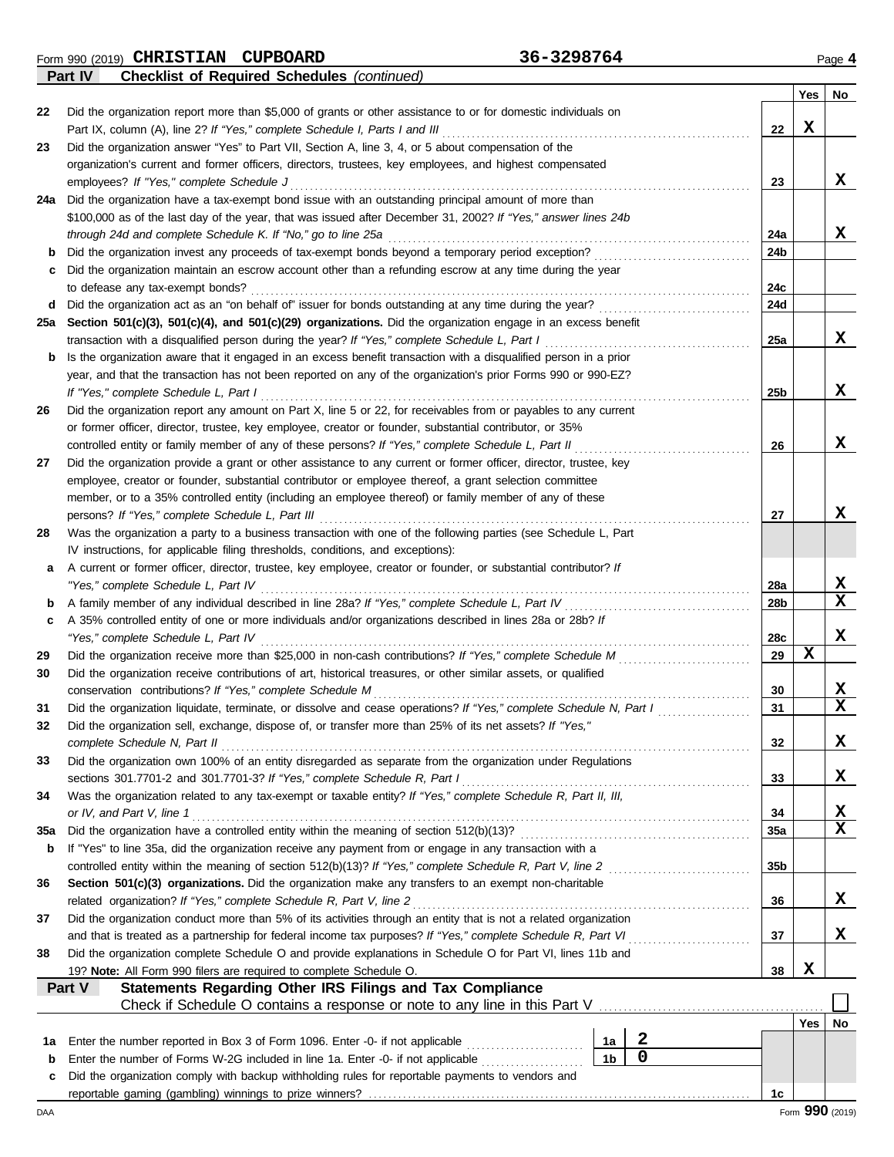Form 990 (2019) Page **4 CHRISTIAN CUPBOARD 36-3298764 Part IV Checklist of Required Schedules** *(continued)*

|             | $5.000$ or reduced concurred to $100$                                                                                                                                            |                |                |   |                 | Yes | No          |  |  |  |  |  |
|-------------|----------------------------------------------------------------------------------------------------------------------------------------------------------------------------------|----------------|----------------|---|-----------------|-----|-------------|--|--|--|--|--|
| 22          | Did the organization report more than \$5,000 of grants or other assistance to or for domestic individuals on                                                                    |                |                |   |                 |     |             |  |  |  |  |  |
|             | Part IX, column (A), line 2? If "Yes," complete Schedule I, Parts I and III                                                                                                      |                |                |   | 22              | X   |             |  |  |  |  |  |
| 23          | Did the organization answer "Yes" to Part VII, Section A, line 3, 4, or 5 about compensation of the                                                                              |                |                |   |                 |     |             |  |  |  |  |  |
|             | organization's current and former officers, directors, trustees, key employees, and highest compensated                                                                          |                |                |   |                 |     |             |  |  |  |  |  |
|             | employees? If "Yes," complete Schedule J                                                                                                                                         |                |                |   | 23              |     | X           |  |  |  |  |  |
| 24a         | Did the organization have a tax-exempt bond issue with an outstanding principal amount of more than                                                                              |                |                |   |                 |     |             |  |  |  |  |  |
|             | \$100,000 as of the last day of the year, that was issued after December 31, 2002? If "Yes," answer lines 24b                                                                    |                |                |   |                 |     |             |  |  |  |  |  |
|             | through 24d and complete Schedule K. If "No," go to line 25a                                                                                                                     |                |                |   | 24a             |     | x           |  |  |  |  |  |
| b           | Did the organization invest any proceeds of tax-exempt bonds beyond a temporary period exception?                                                                                |                |                |   | 24b             |     |             |  |  |  |  |  |
| c           | Did the organization maintain an escrow account other than a refunding escrow at any time during the year                                                                        |                |                |   |                 |     |             |  |  |  |  |  |
|             | to defease any tax-exempt bonds?                                                                                                                                                 |                |                |   | 24c             |     |             |  |  |  |  |  |
| d           | Did the organization act as an "on behalf of" issuer for bonds outstanding at any time during the year?                                                                          |                |                |   | 24d             |     |             |  |  |  |  |  |
| 25a         | Section 501(c)(3), 501(c)(4), and 501(c)(29) organizations. Did the organization engage in an excess benefit                                                                     |                |                |   |                 |     |             |  |  |  |  |  |
|             | transaction with a disqualified person during the year? If "Yes," complete Schedule L, Part I                                                                                    |                |                |   | 25a             |     | X           |  |  |  |  |  |
| b           | Is the organization aware that it engaged in an excess benefit transaction with a disqualified person in a prior                                                                 |                |                |   |                 |     |             |  |  |  |  |  |
|             | year, and that the transaction has not been reported on any of the organization's prior Forms 990 or 990-EZ?                                                                     |                |                |   |                 |     |             |  |  |  |  |  |
|             | If "Yes," complete Schedule L, Part I                                                                                                                                            |                |                |   | 25 <sub>b</sub> |     | x           |  |  |  |  |  |
| 26          | Did the organization report any amount on Part X, line 5 or 22, for receivables from or payables to any current                                                                  |                |                |   |                 |     |             |  |  |  |  |  |
|             | or former officer, director, trustee, key employee, creator or founder, substantial contributor, or 35%                                                                          |                |                |   |                 |     |             |  |  |  |  |  |
|             | controlled entity or family member of any of these persons? If "Yes," complete Schedule L, Part II                                                                               |                |                |   | 26              |     | x           |  |  |  |  |  |
| 27          | Did the organization provide a grant or other assistance to any current or former officer, director, trustee, key                                                                |                |                |   |                 |     |             |  |  |  |  |  |
|             | employee, creator or founder, substantial contributor or employee thereof, a grant selection committee                                                                           |                |                |   |                 |     |             |  |  |  |  |  |
|             | member, or to a 35% controlled entity (including an employee thereof) or family member of any of these<br>persons? If "Yes," complete Schedule L, Part III                       |                |                |   | 27              |     | x           |  |  |  |  |  |
| 28          | Was the organization a party to a business transaction with one of the following parties (see Schedule L, Part                                                                   |                |                |   |                 |     |             |  |  |  |  |  |
|             | IV instructions, for applicable filing thresholds, conditions, and exceptions):                                                                                                  |                |                |   |                 |     |             |  |  |  |  |  |
| a           | A current or former officer, director, trustee, key employee, creator or founder, or substantial contributor? If                                                                 |                |                |   |                 |     |             |  |  |  |  |  |
|             | "Yes," complete Schedule L, Part IV                                                                                                                                              |                |                |   | 28a             |     | x           |  |  |  |  |  |
| b           | A family member of any individual described in line 28a? If "Yes," complete Schedule L, Part IV<br>28 <sub>b</sub>                                                               |                |                |   |                 |     |             |  |  |  |  |  |
| c           | A 35% controlled entity of one or more individuals and/or organizations described in lines 28a or 28b? If                                                                        |                |                |   |                 |     | $\mathbf x$ |  |  |  |  |  |
|             | "Yes," complete Schedule L, Part IV                                                                                                                                              |                |                |   | 28c             |     | X           |  |  |  |  |  |
| 29          | Did the organization receive more than \$25,000 in non-cash contributions? If "Yes," complete Schedule M                                                                         |                |                |   | 29              | X   |             |  |  |  |  |  |
| 30          | Did the organization receive contributions of art, historical treasures, or other similar assets, or qualified                                                                   |                |                |   |                 |     |             |  |  |  |  |  |
|             | conservation contributions? If "Yes," complete Schedule M                                                                                                                        |                |                |   | 30              |     | X           |  |  |  |  |  |
| 31          | Did the organization liquidate, terminate, or dissolve and cease operations? If "Yes," complete Schedule N, Part I                                                               |                |                |   | 31              |     | $\mathbf x$ |  |  |  |  |  |
| 32          | Did the organization sell, exchange, dispose of, or transfer more than 25% of its net assets? If "Yes,"                                                                          |                |                |   |                 |     |             |  |  |  |  |  |
|             | complete Schedule N, Part II                                                                                                                                                     |                |                |   | 32              |     | X           |  |  |  |  |  |
| 33          | Did the organization own 100% of an entity disregarded as separate from the organization under Regulations                                                                       |                |                |   |                 |     |             |  |  |  |  |  |
|             | sections 301.7701-2 and 301.7701-3? If "Yes," complete Schedule R, Part I                                                                                                        |                |                |   | 33              |     | X           |  |  |  |  |  |
| 34          | Was the organization related to any tax-exempt or taxable entity? If "Yes," complete Schedule R, Part II, III,                                                                   |                |                |   |                 |     |             |  |  |  |  |  |
|             | or IV, and Part V, line 1                                                                                                                                                        |                |                |   | 34              |     | X           |  |  |  |  |  |
| 35a         | Did the organization have a controlled entity within the meaning of section 512(b)(13)?                                                                                          |                |                |   | 35a             |     | $\mathbf x$ |  |  |  |  |  |
| b           | If "Yes" to line 35a, did the organization receive any payment from or engage in any transaction with a                                                                          |                |                |   |                 |     |             |  |  |  |  |  |
|             | controlled entity within the meaning of section 512(b)(13)? If "Yes," complete Schedule R, Part V, line 2                                                                        |                |                |   | 35 <sub>b</sub> |     |             |  |  |  |  |  |
| 36          | Section 501(c)(3) organizations. Did the organization make any transfers to an exempt non-charitable                                                                             |                |                |   |                 |     |             |  |  |  |  |  |
|             | related organization? If "Yes," complete Schedule R, Part V, line 2                                                                                                              |                |                |   | 36              |     | X           |  |  |  |  |  |
| 37          | Did the organization conduct more than 5% of its activities through an entity that is not a related organization                                                                 |                |                |   |                 |     | X           |  |  |  |  |  |
|             | and that is treated as a partnership for federal income tax purposes? If "Yes," complete Schedule R, Part VI                                                                     |                |                |   | 37              |     |             |  |  |  |  |  |
| 38          | Did the organization complete Schedule O and provide explanations in Schedule O for Part VI, lines 11b and<br>19? Note: All Form 990 filers are required to complete Schedule O. |                |                |   | 38              | X   |             |  |  |  |  |  |
|             | Statements Regarding Other IRS Filings and Tax Compliance<br>Part V                                                                                                              |                |                |   |                 |     |             |  |  |  |  |  |
|             | Check if Schedule O contains a response or note to any line in this Part V                                                                                                       |                |                |   |                 |     |             |  |  |  |  |  |
|             |                                                                                                                                                                                  |                |                |   |                 | Yes | No          |  |  |  |  |  |
| 1a          | Enter the number reported in Box 3 of Form 1096. Enter -0- if not applicable                                                                                                     | 1a             |                | 2 |                 |     |             |  |  |  |  |  |
| $\mathbf b$ | Enter the number of Forms W-2G included in line 1a. Enter -0- if not applicable                                                                                                  | 1 <sub>b</sub> | $\overline{0}$ |   |                 |     |             |  |  |  |  |  |
| c           | Did the organization comply with backup withholding rules for reportable payments to vendors and                                                                                 |                |                |   |                 |     |             |  |  |  |  |  |
|             |                                                                                                                                                                                  |                |                |   | 1c              |     |             |  |  |  |  |  |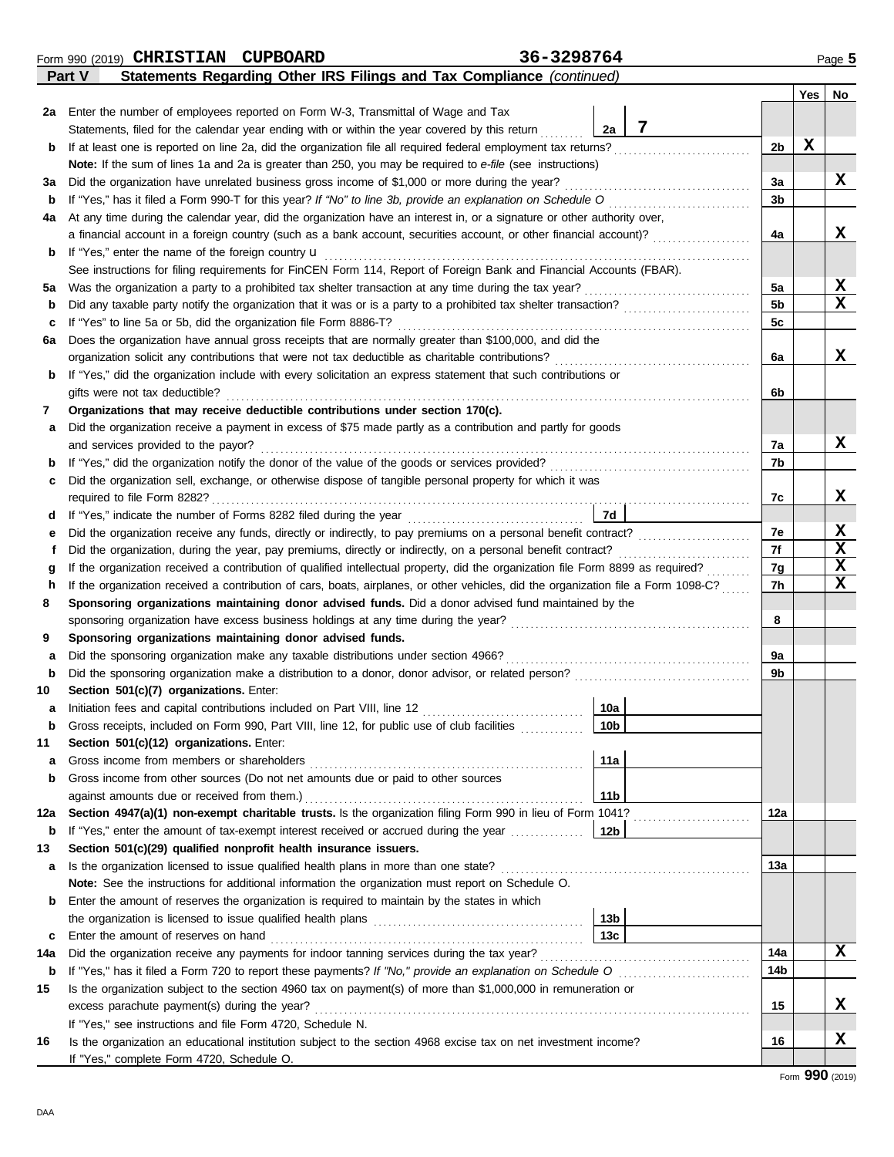|     | 36-3298764<br>Form 990 (2019) CHRISTIAN CUPBOARD                                                                                                                                                                                                      |                      |                      |     | Page 5      |  |  |  |  |  |  |  |  |  |
|-----|-------------------------------------------------------------------------------------------------------------------------------------------------------------------------------------------------------------------------------------------------------|----------------------|----------------------|-----|-------------|--|--|--|--|--|--|--|--|--|
|     | Statements Regarding Other IRS Filings and Tax Compliance (continued)<br>Part V                                                                                                                                                                       |                      |                      |     |             |  |  |  |  |  |  |  |  |  |
|     |                                                                                                                                                                                                                                                       |                      |                      | Yes | No          |  |  |  |  |  |  |  |  |  |
|     | 2a Enter the number of employees reported on Form W-3, Transmittal of Wage and Tax                                                                                                                                                                    |                      |                      |     |             |  |  |  |  |  |  |  |  |  |
|     | Statements, filed for the calendar year ending with or within the year covered by this return                                                                                                                                                         | $\overline{7}$<br>2a |                      |     |             |  |  |  |  |  |  |  |  |  |
| b   | If at least one is reported on line 2a, did the organization file all required federal employment tax returns?                                                                                                                                        |                      | 2b                   | X   |             |  |  |  |  |  |  |  |  |  |
|     | Note: If the sum of lines 1a and 2a is greater than 250, you may be required to e-file (see instructions)                                                                                                                                             |                      |                      |     |             |  |  |  |  |  |  |  |  |  |
| За  | Did the organization have unrelated business gross income of \$1,000 or more during the year?                                                                                                                                                         |                      | За                   |     | X           |  |  |  |  |  |  |  |  |  |
| b   | If "Yes," has it filed a Form 990-T for this year? If "No" to line 3b, provide an explanation on Schedule O                                                                                                                                           |                      | 3 <sub>b</sub>       |     |             |  |  |  |  |  |  |  |  |  |
| 4a  | At any time during the calendar year, did the organization have an interest in, or a signature or other authority over,                                                                                                                               |                      |                      |     |             |  |  |  |  |  |  |  |  |  |
|     | a financial account in a foreign country (such as a bank account, securities account, or other financial account)?                                                                                                                                    |                      | 4a                   |     | X           |  |  |  |  |  |  |  |  |  |
| b   | If "Yes," enter the name of the foreign country u                                                                                                                                                                                                     |                      |                      |     |             |  |  |  |  |  |  |  |  |  |
|     | See instructions for filing requirements for FinCEN Form 114, Report of Foreign Bank and Financial Accounts (FBAR).                                                                                                                                   |                      |                      |     |             |  |  |  |  |  |  |  |  |  |
| 5a  | Was the organization a party to a prohibited tax shelter transaction at any time during the tax year?                                                                                                                                                 |                      | 5a                   |     | X           |  |  |  |  |  |  |  |  |  |
| b   | Did any taxable party notify the organization that it was or is a party to a prohibited tax shelter transaction?                                                                                                                                      |                      | 5 <sub>b</sub><br>5c |     | $\mathbf x$ |  |  |  |  |  |  |  |  |  |
| c   | If "Yes" to line 5a or 5b, did the organization file Form 8886-T?                                                                                                                                                                                     |                      |                      |     |             |  |  |  |  |  |  |  |  |  |
| 6a  | Does the organization have annual gross receipts that are normally greater than \$100,000, and did the                                                                                                                                                |                      |                      |     |             |  |  |  |  |  |  |  |  |  |
|     | organization solicit any contributions that were not tax deductible as charitable contributions?                                                                                                                                                      |                      | 6a                   |     | X           |  |  |  |  |  |  |  |  |  |
| b   | If "Yes," did the organization include with every solicitation an express statement that such contributions or                                                                                                                                        |                      |                      |     |             |  |  |  |  |  |  |  |  |  |
|     | gifts were not tax deductible?                                                                                                                                                                                                                        |                      | 6b                   |     |             |  |  |  |  |  |  |  |  |  |
| 7   | Organizations that may receive deductible contributions under section 170(c).                                                                                                                                                                         |                      |                      |     |             |  |  |  |  |  |  |  |  |  |
| а   | Did the organization receive a payment in excess of \$75 made partly as a contribution and partly for goods                                                                                                                                           |                      |                      |     |             |  |  |  |  |  |  |  |  |  |
|     | and services provided to the payor?                                                                                                                                                                                                                   |                      | 7а                   |     | X           |  |  |  |  |  |  |  |  |  |
| b   | If "Yes," did the organization notify the donor of the value of the goods or services provided?<br>If "Yes," did the organization notify the donor of the value of the goods or services provided?                                                    |                      | 7b                   |     |             |  |  |  |  |  |  |  |  |  |
| c   | Did the organization sell, exchange, or otherwise dispose of tangible personal property for which it was                                                                                                                                              |                      |                      |     | X           |  |  |  |  |  |  |  |  |  |
|     |                                                                                                                                                                                                                                                       | <b>7d</b>            | 7c                   |     |             |  |  |  |  |  |  |  |  |  |
| d   | Did the organization receive any funds, directly or indirectly, to pay premiums on a personal benefit contract?                                                                                                                                       |                      | 7e                   |     | X           |  |  |  |  |  |  |  |  |  |
| е   |                                                                                                                                                                                                                                                       |                      | 7f                   |     | $\mathbf x$ |  |  |  |  |  |  |  |  |  |
|     | Did the organization, during the year, pay premiums, directly or indirectly, on a personal benefit contract?<br>f<br>If the organization received a contribution of qualified intellectual property, did the organization file Form 8899 as required? |                      |                      |     |             |  |  |  |  |  |  |  |  |  |
|     | g<br>If the organization received a contribution of cars, boats, airplanes, or other vehicles, did the organization file a Form 1098-C?                                                                                                               |                      |                      |     |             |  |  |  |  |  |  |  |  |  |
| 8   | h<br>Sponsoring organizations maintaining donor advised funds. Did a donor advised fund maintained by the                                                                                                                                             |                      |                      |     |             |  |  |  |  |  |  |  |  |  |
|     |                                                                                                                                                                                                                                                       |                      | 8                    |     |             |  |  |  |  |  |  |  |  |  |
| 9   | Sponsoring organizations maintaining donor advised funds.                                                                                                                                                                                             |                      |                      |     |             |  |  |  |  |  |  |  |  |  |
| а   | Did the sponsoring organization make any taxable distributions under section 4966?                                                                                                                                                                    |                      | 9а                   |     |             |  |  |  |  |  |  |  |  |  |
| b   |                                                                                                                                                                                                                                                       |                      | 9b                   |     |             |  |  |  |  |  |  |  |  |  |
| 10  | Section 501(c)(7) organizations. Enter:                                                                                                                                                                                                               |                      |                      |     |             |  |  |  |  |  |  |  |  |  |
|     | Initiation fees and capital contributions included on Part VIII, line 12 [11] [11] [12] [11] [12] [11] [12] [1                                                                                                                                        | $\sqrt{10a}$         |                      |     |             |  |  |  |  |  |  |  |  |  |
| b   | Gross receipts, included on Form 990, Part VIII, line 12, for public use of club facilities                                                                                                                                                           | 10b                  |                      |     |             |  |  |  |  |  |  |  |  |  |
| 11  | Section 501(c)(12) organizations. Enter:                                                                                                                                                                                                              |                      |                      |     |             |  |  |  |  |  |  |  |  |  |
| а   | Gross income from members or shareholders                                                                                                                                                                                                             | 11a                  |                      |     |             |  |  |  |  |  |  |  |  |  |
| b   | Gross income from other sources (Do not net amounts due or paid to other sources                                                                                                                                                                      |                      |                      |     |             |  |  |  |  |  |  |  |  |  |
|     | against amounts due or received from them.)                                                                                                                                                                                                           | 11 <sub>b</sub>      |                      |     |             |  |  |  |  |  |  |  |  |  |
| 12a | Section 4947(a)(1) non-exempt charitable trusts. Is the organization filing Form 990 in lieu of Form 1041?                                                                                                                                            |                      | 12a                  |     |             |  |  |  |  |  |  |  |  |  |
| b   | If "Yes," enter the amount of tax-exempt interest received or accrued during the year <i>minimizion</i>                                                                                                                                               | 12b                  |                      |     |             |  |  |  |  |  |  |  |  |  |
| 13  | Section 501(c)(29) qualified nonprofit health insurance issuers.                                                                                                                                                                                      |                      |                      |     |             |  |  |  |  |  |  |  |  |  |
| a   | Is the organization licensed to issue qualified health plans in more than one state?                                                                                                                                                                  |                      | 13а                  |     |             |  |  |  |  |  |  |  |  |  |
|     | Note: See the instructions for additional information the organization must report on Schedule O.                                                                                                                                                     |                      |                      |     |             |  |  |  |  |  |  |  |  |  |
| b   | Enter the amount of reserves the organization is required to maintain by the states in which                                                                                                                                                          |                      |                      |     |             |  |  |  |  |  |  |  |  |  |
|     |                                                                                                                                                                                                                                                       | 13b                  |                      |     |             |  |  |  |  |  |  |  |  |  |
| c   | Enter the amount of reserves on hand                                                                                                                                                                                                                  | 13c                  |                      |     |             |  |  |  |  |  |  |  |  |  |
| 14a | Did the organization receive any payments for indoor tanning services during the tax year?                                                                                                                                                            |                      | 14a                  |     | x           |  |  |  |  |  |  |  |  |  |
| b   | If "Yes," has it filed a Form 720 to report these payments? If "No," provide an explanation on Schedule O                                                                                                                                             |                      | 14b                  |     |             |  |  |  |  |  |  |  |  |  |
| 15  | Is the organization subject to the section 4960 tax on payment(s) of more than \$1,000,000 in remuneration or                                                                                                                                         |                      |                      |     |             |  |  |  |  |  |  |  |  |  |
|     | excess parachute payment(s) during the year?                                                                                                                                                                                                          |                      | 15                   |     | X           |  |  |  |  |  |  |  |  |  |
| 16  | If "Yes," see instructions and file Form 4720, Schedule N.                                                                                                                                                                                            |                      | 16                   |     | X           |  |  |  |  |  |  |  |  |  |
|     | Is the organization an educational institution subject to the section 4968 excise tax on net investment income?<br>If "Yes," complete Form 4720, Schedule O.                                                                                          |                      |                      |     |             |  |  |  |  |  |  |  |  |  |
|     |                                                                                                                                                                                                                                                       |                      |                      |     |             |  |  |  |  |  |  |  |  |  |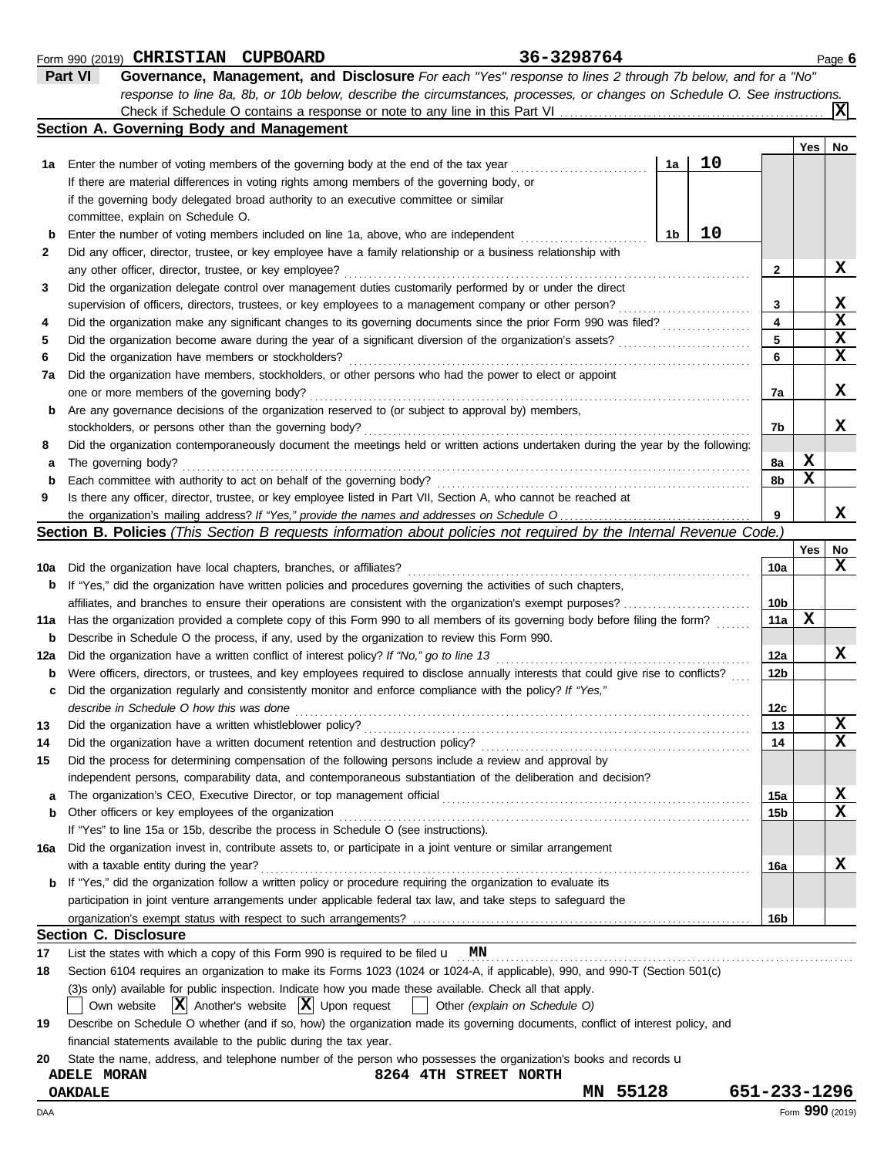|     | 36-3298764<br>Form 990 (2019) CHRISTIAN CUPBOARD                                                                                    |                         |             | Page 6          |
|-----|-------------------------------------------------------------------------------------------------------------------------------------|-------------------------|-------------|-----------------|
|     | Part VI<br>Governance, Management, and Disclosure For each "Yes" response to lines 2 through 7b below, and for a "No"               |                         |             |                 |
|     | response to line 8a, 8b, or 10b below, describe the circumstances, processes, or changes on Schedule O. See instructions.           |                         |             |                 |
|     |                                                                                                                                     |                         |             | x               |
|     | Section A. Governing Body and Management                                                                                            |                         |             |                 |
|     |                                                                                                                                     |                         | Yes         | No              |
| 1а  | 10<br>1a<br>Enter the number of voting members of the governing body at the end of the tax year                                     |                         |             |                 |
|     | If there are material differences in voting rights among members of the governing body, or                                          |                         |             |                 |
|     | if the governing body delegated broad authority to an executive committee or similar                                                |                         |             |                 |
|     | committee, explain on Schedule O.                                                                                                   |                         |             |                 |
| b   | 10<br>1b<br>Enter the number of voting members included on line 1a, above, who are independent                                      |                         |             |                 |
| 2   | Did any officer, director, trustee, or key employee have a family relationship or a business relationship with                      |                         |             |                 |
|     | any other officer, director, trustee, or key employee?                                                                              | $\mathbf{2}$            |             | X               |
| 3   | Did the organization delegate control over management duties customarily performed by or under the direct                           |                         |             |                 |
|     | supervision of officers, directors, trustees, or key employees to a management company or other person?                             | 3                       |             | X               |
| 4   | Did the organization make any significant changes to its governing documents since the prior Form 990 was filed?                    | $\overline{\mathbf{4}}$ |             | $\mathbf x$     |
| 5   | Did the organization become aware during the year of a significant diversion of the organization's assets?                          | 5                       |             | X               |
| 6   | Did the organization have members or stockholders?                                                                                  | 6                       |             | X               |
| 7а  | Did the organization have members, stockholders, or other persons who had the power to elect or appoint                             |                         |             |                 |
|     | one or more members of the governing body?                                                                                          | 7a                      |             | X               |
| b   | Are any governance decisions of the organization reserved to (or subject to approval by) members,                                   |                         |             |                 |
|     | stockholders, or persons other than the governing body?                                                                             | 7b                      |             | x               |
| 8   | Did the organization contemporaneously document the meetings held or written actions undertaken during the year by the following:   |                         |             |                 |
| а   | The governing body?                                                                                                                 | 8a                      | X           |                 |
| b   | Each committee with authority to act on behalf of the governing body?                                                               | 8b                      | $\mathbf x$ |                 |
| 9   | Is there any officer, director, trustee, or key employee listed in Part VII, Section A, who cannot be reached at                    |                         |             |                 |
|     |                                                                                                                                     | 9                       |             | X               |
|     | <b>Section B. Policies</b> (This Section B requests information about policies not required by the Internal Revenue Code.)          |                         |             |                 |
|     |                                                                                                                                     |                         | Yes         | No              |
| 10a | Did the organization have local chapters, branches, or affiliates?                                                                  | 10a                     |             | x               |
|     | <b>b</b> If "Yes," did the organization have written policies and procedures governing the activities of such chapters,             |                         |             |                 |
|     | affiliates, and branches to ensure their operations are consistent with the organization's exempt purposes?                         | 10b                     |             |                 |
| 11a | Has the organization provided a complete copy of this Form 990 to all members of its governing body before filing the form?         | 11a                     | X           |                 |
| b   | Describe in Schedule O the process, if any, used by the organization to review this Form 990.                                       |                         |             |                 |
| 12a | Did the organization have a written conflict of interest policy? If "No," go to line 13                                             | 12a                     |             | X               |
| b   | Were officers, directors, or trustees, and key employees required to disclose annually interests that could give rise to conflicts? | 12 <sub>b</sub>         |             |                 |
| c   | Did the organization regularly and consistently monitor and enforce compliance with the policy? If "Yes,"                           |                         |             |                 |
|     | describe in Schedule O how this was done                                                                                            | 12 <sub>c</sub>         |             |                 |
| 13  | Did the organization have a written whistleblower policy?                                                                           | 13                      |             | X               |
| 14  | Did the organization have a written document retention and destruction policy?                                                      | 14                      |             | x               |
| 15  | Did the process for determining compensation of the following persons include a review and approval by                              |                         |             |                 |
|     | independent persons, comparability data, and contemporaneous substantiation of the deliberation and decision?                       |                         |             |                 |
| a   | The organization's CEO, Executive Director, or top management official                                                              | 15a                     |             | х               |
| b   | Other officers or key employees of the organization                                                                                 | 15b                     |             | X               |
|     | If "Yes" to line 15a or 15b, describe the process in Schedule O (see instructions).                                                 |                         |             |                 |
| 16a | Did the organization invest in, contribute assets to, or participate in a joint venture or similar arrangement                      |                         |             |                 |
|     | with a taxable entity during the year?                                                                                              | 16a                     |             | X               |
|     | <b>b</b> If "Yes," did the organization follow a written policy or procedure requiring the organization to evaluate its             |                         |             |                 |
|     | participation in joint venture arrangements under applicable federal tax law, and take steps to safeguard the                       |                         |             |                 |
|     |                                                                                                                                     | 16b                     |             |                 |
|     | <b>Section C. Disclosure</b>                                                                                                        |                         |             |                 |
| 17  | List the states with which a copy of this Form 990 is required to be filed $\mathbf{u}$ MN                                          |                         |             |                 |
| 18  | Section 6104 requires an organization to make its Forms 1023 (1024 or 1024-A, if applicable), 990, and 990-T (Section 501(c)        |                         |             |                 |
|     | (3)s only) available for public inspection. Indicate how you made these available. Check all that apply.                            |                         |             |                 |
|     | $ \mathbf{X} $ Another's website $ \mathbf{X} $ Upon request<br>Own website<br>Other (explain on Schedule O)                        |                         |             |                 |
| 19  | Describe on Schedule O whether (and if so, how) the organization made its governing documents, conflict of interest policy, and     |                         |             |                 |
|     | financial statements available to the public during the tax year.                                                                   |                         |             |                 |
| 20  | State the name, address, and telephone number of the person who possesses the organization's books and records u                    |                         |             |                 |
|     | 8264 4TH STREET NORTH<br><b>ADELE MORAN</b>                                                                                         |                         |             |                 |
|     | 55128<br><b>OAKDALE</b><br>MN .                                                                                                     | 651-233-1296            |             |                 |
| DAA |                                                                                                                                     |                         |             | Form 990 (2019) |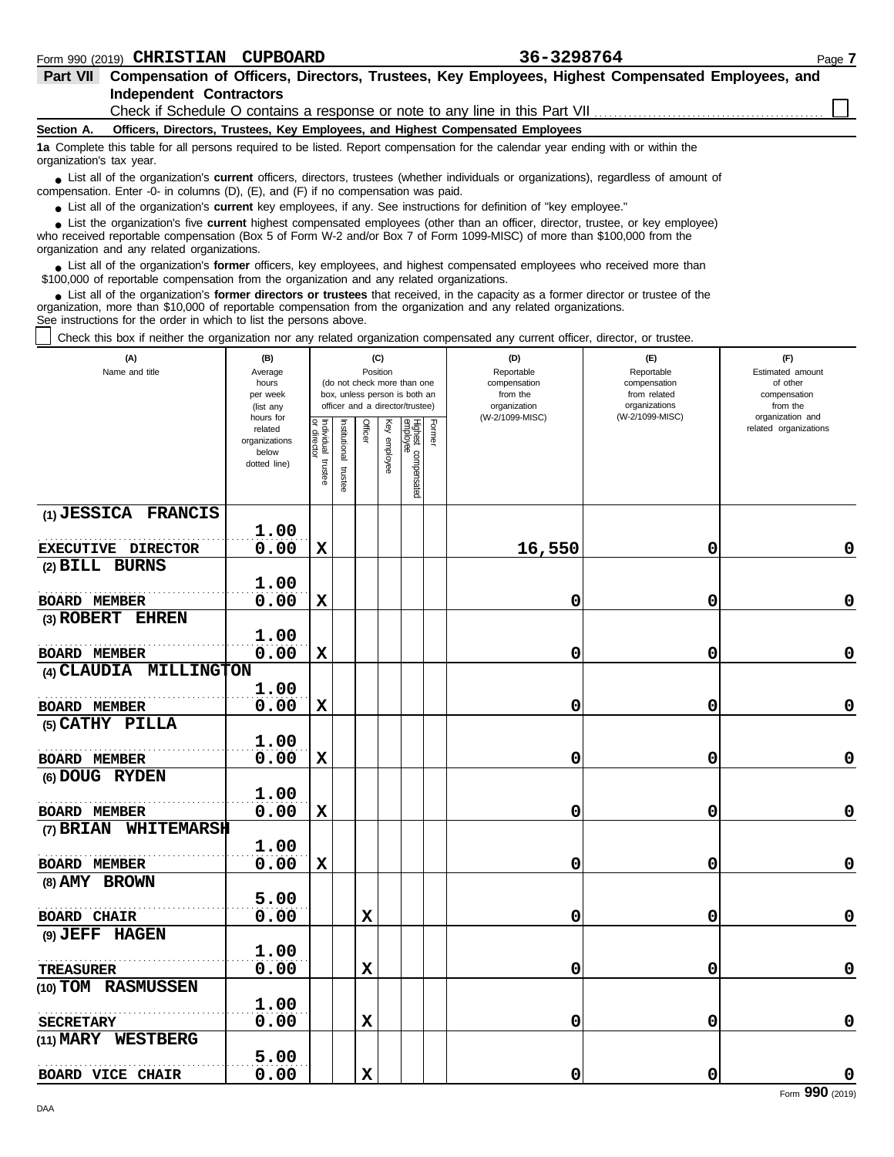| Form 990 (2019) CHRISTIAN CUPBOARD                                                                                                                                                                                                                                                                                          |                                                                                                                    |                            |                          |                                                                                                                               |                 |                                 |        | 36-3298764                                                                       |                                                                                       |                                                                                                              | Page 7       |
|-----------------------------------------------------------------------------------------------------------------------------------------------------------------------------------------------------------------------------------------------------------------------------------------------------------------------------|--------------------------------------------------------------------------------------------------------------------|----------------------------|--------------------------|-------------------------------------------------------------------------------------------------------------------------------|-----------------|---------------------------------|--------|----------------------------------------------------------------------------------|---------------------------------------------------------------------------------------|--------------------------------------------------------------------------------------------------------------|--------------|
| Part VII Compensation of Officers, Directors, Trustees, Key Employees, Highest Compensated Employees, and                                                                                                                                                                                                                   |                                                                                                                    |                            |                          |                                                                                                                               |                 |                                 |        |                                                                                  |                                                                                       |                                                                                                              |              |
| <b>Independent Contractors</b>                                                                                                                                                                                                                                                                                              |                                                                                                                    |                            |                          |                                                                                                                               |                 |                                 |        |                                                                                  |                                                                                       |                                                                                                              |              |
| Section A.                                                                                                                                                                                                                                                                                                                  |                                                                                                                    |                            |                          |                                                                                                                               |                 |                                 |        | Officers, Directors, Trustees, Key Employees, and Highest Compensated Employees  |                                                                                       |                                                                                                              |              |
| 1a Complete this table for all persons required to be listed. Report compensation for the calendar year ending with or within the<br>organization's tax year.                                                                                                                                                               |                                                                                                                    |                            |                          |                                                                                                                               |                 |                                 |        |                                                                                  |                                                                                       |                                                                                                              |              |
| • List all of the organization's <b>current</b> officers, directors, trustees (whether individuals or organizations), regardless of amount of<br>compensation. Enter -0- in columns (D), (E), and (F) if no compensation was paid.                                                                                          |                                                                                                                    |                            |                          |                                                                                                                               |                 |                                 |        |                                                                                  |                                                                                       |                                                                                                              |              |
| • List all of the organization's current key employees, if any. See instructions for definition of "key employee."                                                                                                                                                                                                          |                                                                                                                    |                            |                          |                                                                                                                               |                 |                                 |        |                                                                                  |                                                                                       |                                                                                                              |              |
| • List the organization's five current highest compensated employees (other than an officer, director, trustee, or key employee)<br>who received reportable compensation (Box 5 of Form W-2 and/or Box 7 of Form 1099-MISC) of more than \$100,000 from the<br>organization and any related organizations.                  |                                                                                                                    |                            |                          |                                                                                                                               |                 |                                 |        |                                                                                  |                                                                                       |                                                                                                              |              |
| • List all of the organization's former officers, key employees, and highest compensated employees who received more than<br>\$100,000 of reportable compensation from the organization and any related organizations.                                                                                                      |                                                                                                                    |                            |                          |                                                                                                                               |                 |                                 |        |                                                                                  |                                                                                       |                                                                                                              |              |
| List all of the organization's former directors or trustees that received, in the capacity as a former director or trustee of the<br>organization, more than \$10,000 of reportable compensation from the organization and any related organizations.<br>See instructions for the order in which to list the persons above. |                                                                                                                    |                            |                          |                                                                                                                               |                 |                                 |        |                                                                                  |                                                                                       |                                                                                                              |              |
| Check this box if neither the organization nor any related organization compensated any current officer, director, or trustee.                                                                                                                                                                                              |                                                                                                                    |                            |                          |                                                                                                                               |                 |                                 |        |                                                                                  |                                                                                       |                                                                                                              |              |
| (A)<br>Name and title                                                                                                                                                                                                                                                                                                       | (B)<br>Average<br>hours<br>per week<br>(list any<br>hours for<br>related<br>organizations<br>below<br>dotted line) | Individual trustee<br>ctoi | Institutional<br>trustee | (C)<br>Position<br>(do not check more than one<br>box, unless person is both an<br>officer and a director/trustee)<br>Officer | Key<br>employee | Highest compensated<br>employee | Former | (D)<br>Reportable<br>compensation<br>from the<br>organization<br>(W-2/1099-MISC) | (E)<br>Reportable<br>compensation<br>from related<br>organizations<br>(W-2/1099-MISC) | (F)<br>Estimated amount<br>of other<br>compensation<br>from the<br>organization and<br>related organizations |              |
| (1) JESSICA FRANCIS                                                                                                                                                                                                                                                                                                         |                                                                                                                    |                            |                          |                                                                                                                               |                 |                                 |        |                                                                                  |                                                                                       |                                                                                                              |              |
|                                                                                                                                                                                                                                                                                                                             | 1.00                                                                                                               |                            |                          |                                                                                                                               |                 |                                 |        |                                                                                  |                                                                                       |                                                                                                              |              |
| EXECUTIVE DIRECTOR                                                                                                                                                                                                                                                                                                          | 0.00                                                                                                               | $\mathbf x$                |                          |                                                                                                                               |                 |                                 |        | 16,550                                                                           | 0                                                                                     |                                                                                                              | 0            |
| (2) BILL BURNS                                                                                                                                                                                                                                                                                                              |                                                                                                                    |                            |                          |                                                                                                                               |                 |                                 |        |                                                                                  |                                                                                       |                                                                                                              |              |
| point warn                                                                                                                                                                                                                                                                                                                  | 1.00<br>0.00                                                                                                       | $\mathbf{v}$               |                          |                                                                                                                               |                 |                                 |        | ⌒                                                                                | Λ                                                                                     |                                                                                                              | <sup>o</sup> |

| <b>BOARD MEMBER</b>     | 0.00 | $\mathbf x$ |   | 0 | 0 | $\mathbf 0$ |
|-------------------------|------|-------------|---|---|---|-------------|
| (3) ROBERT EHREN        |      |             |   |   |   |             |
|                         | 1.00 |             |   |   |   |             |
| BOARD MEMBER            | 0.00 | $\mathbf x$ |   | 0 | 0 | $\mathbf 0$ |
| (4) CLAUDIA MILLINGTON  |      |             |   |   |   |             |
|                         | 1.00 |             |   |   |   |             |
| BOARD MEMBER            | 0.00 | $\mathbf x$ |   | 0 | 0 | $\mathbf 0$ |
| (5) CATHY PILLA         |      |             |   |   |   |             |
|                         | 1.00 |             |   |   |   |             |
| <b>BOARD MEMBER</b>     | 0.00 | $\mathbf x$ |   | 0 | 0 | $\mathbf 0$ |
| (6) DOUG RYDEN          |      |             |   |   |   |             |
|                         | 1.00 |             |   |   |   |             |
| <b>BOARD MEMBER</b>     | 0.00 | $\mathbf x$ |   | 0 | 0 | $\mathbf 0$ |
| (7) BRIAN WHITEMARSH    |      |             |   |   |   |             |
|                         | 1.00 |             |   |   |   |             |
| <b>BOARD MEMBER</b>     | 0.00 | $\mathbf x$ |   | 0 | 0 | $\mathbf 0$ |
| (8) AMY BROWN           |      |             |   |   |   |             |
|                         | 5.00 |             |   |   |   |             |
| <b>BOARD CHAIR</b>      | 0.00 |             | X | 0 | 0 | $\mathbf 0$ |
| (9) JEFF HAGEN          |      |             |   |   |   |             |
|                         | 1.00 |             |   |   |   |             |
| <b>TREASURER</b>        | 0.00 |             | X | 0 | 0 | $\mathbf 0$ |
| (10) TOM RASMUSSEN      |      |             |   |   |   |             |
|                         | 1.00 |             |   |   |   |             |
| <b>SECRETARY</b>        | 0.00 |             | X | 0 | 0 | $\mathbf 0$ |
| (11) MARY WESTBERG      |      |             |   |   |   |             |
|                         | 5.00 |             |   |   |   |             |
| <b>BOARD VICE CHAIR</b> | 0.00 |             | X | 0 | 0 | $\mathbf 0$ |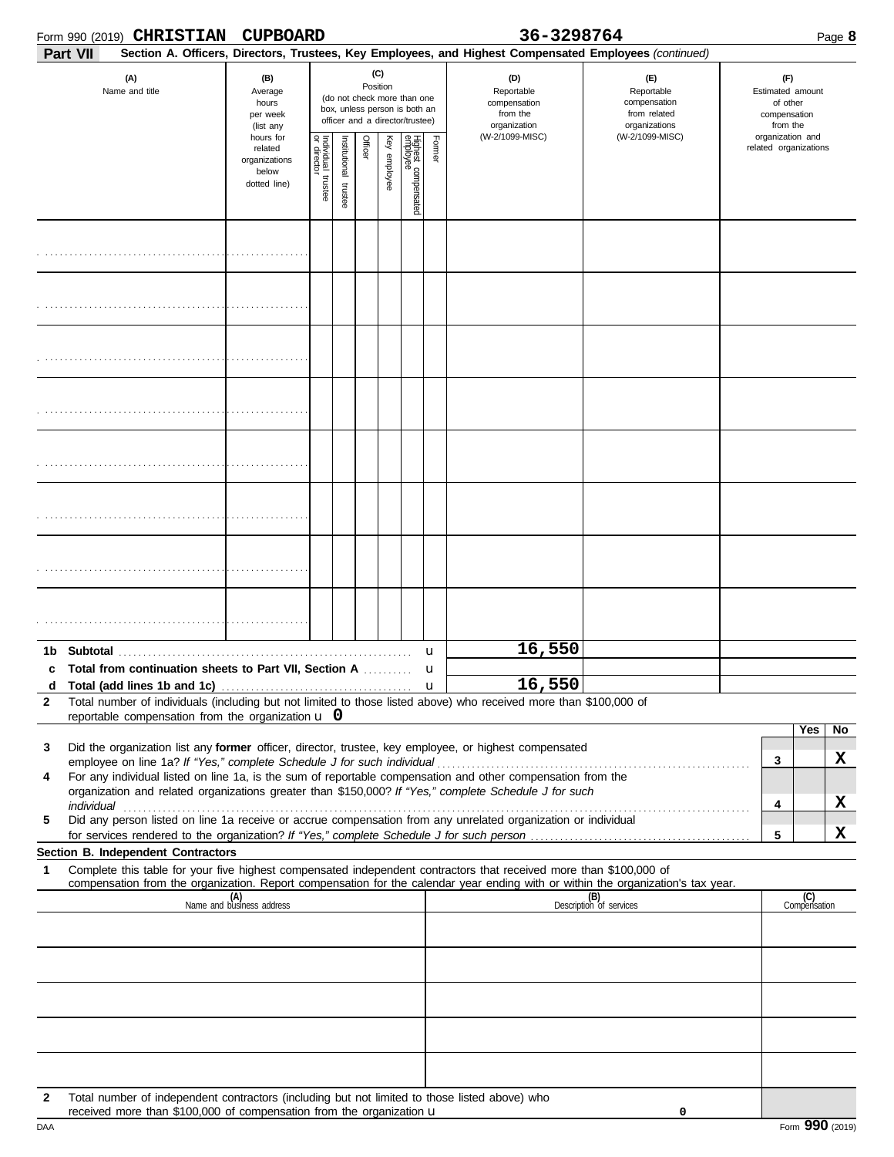|                   | Form 990 (2019) CHRISTIAN                                                                                                                                                                                            | <b>CUPBOARD</b>                                                                                                                                                        |                                        |                      |         |              |                                 |              | 36-3298764                                                                                             |                                                                    |  |                                                                 |                       | Page 8 |  |
|-------------------|----------------------------------------------------------------------------------------------------------------------------------------------------------------------------------------------------------------------|------------------------------------------------------------------------------------------------------------------------------------------------------------------------|----------------------------------------|----------------------|---------|--------------|---------------------------------|--------------|--------------------------------------------------------------------------------------------------------|--------------------------------------------------------------------|--|-----------------------------------------------------------------|-----------------------|--------|--|
| Part VII          |                                                                                                                                                                                                                      |                                                                                                                                                                        |                                        |                      |         |              |                                 |              | Section A. Officers, Directors, Trustees, Key Employees, and Highest Compensated Employees (continued) |                                                                    |  |                                                                 |                       |        |  |
|                   | (A)<br>Name and title                                                                                                                                                                                                | (C)<br>(B)<br>Position<br>Average<br>(do not check more than one<br>hours<br>box, unless person is both an<br>per week<br>officer and a director/trustee)<br>(list any |                                        |                      |         |              |                                 |              | (D)<br>Reportable<br>compensation<br>from the<br>organization                                          | (E)<br>Reportable<br>compensation<br>from related<br>organizations |  | (F)<br>Estimated amount<br>of other<br>compensation<br>from the |                       |        |  |
|                   |                                                                                                                                                                                                                      | hours for<br>related<br>organizations<br>below<br>dotted line)                                                                                                         | Individual 1<br>or director<br>trustee | nstitutional trustee | Officer | Key employee | Highest compensated<br>employee | Former       | (W-2/1099-MISC)                                                                                        | (W-2/1099-MISC)                                                    |  | organization and                                                | related organizations |        |  |
|                   |                                                                                                                                                                                                                      |                                                                                                                                                                        |                                        |                      |         |              |                                 |              |                                                                                                        |                                                                    |  |                                                                 |                       |        |  |
|                   |                                                                                                                                                                                                                      |                                                                                                                                                                        |                                        |                      |         |              |                                 |              |                                                                                                        |                                                                    |  |                                                                 |                       |        |  |
|                   |                                                                                                                                                                                                                      |                                                                                                                                                                        |                                        |                      |         |              |                                 |              |                                                                                                        |                                                                    |  |                                                                 |                       |        |  |
|                   |                                                                                                                                                                                                                      |                                                                                                                                                                        |                                        |                      |         |              |                                 |              |                                                                                                        |                                                                    |  |                                                                 |                       |        |  |
|                   |                                                                                                                                                                                                                      |                                                                                                                                                                        |                                        |                      |         |              |                                 |              |                                                                                                        |                                                                    |  |                                                                 |                       |        |  |
|                   |                                                                                                                                                                                                                      |                                                                                                                                                                        |                                        |                      |         |              |                                 |              |                                                                                                        |                                                                    |  |                                                                 |                       |        |  |
|                   |                                                                                                                                                                                                                      |                                                                                                                                                                        |                                        |                      |         |              |                                 |              |                                                                                                        |                                                                    |  |                                                                 |                       |        |  |
|                   |                                                                                                                                                                                                                      |                                                                                                                                                                        |                                        |                      |         |              |                                 |              |                                                                                                        |                                                                    |  |                                                                 |                       |        |  |
| 1b                | Total from continuation sheets to Part VII, Section A                                                                                                                                                                |                                                                                                                                                                        |                                        |                      |         |              |                                 | u<br>u       | 16,550<br>16,550                                                                                       |                                                                    |  |                                                                 |                       |        |  |
| d<br>$\mathbf{2}$ | Total (add lines 1b and 1c)<br>Total number of individuals (including but not limited to those listed above) who received more than \$100,000 of                                                                     |                                                                                                                                                                        |                                        |                      |         |              |                                 | $\mathbf{u}$ |                                                                                                        |                                                                    |  |                                                                 |                       |        |  |
|                   | reportable compensation from the organization $\bf{u}$ 0                                                                                                                                                             |                                                                                                                                                                        |                                        |                      |         |              |                                 |              |                                                                                                        |                                                                    |  |                                                                 | Yes                   | No     |  |
| 3                 | Did the organization list any former officer, director, trustee, key employee, or highest compensated<br>employee on line 1a? If "Yes," complete Schedule J for such individual                                      |                                                                                                                                                                        |                                        |                      |         |              |                                 |              |                                                                                                        |                                                                    |  | 3                                                               |                       | X      |  |
| 4                 | For any individual listed on line 1a, is the sum of reportable compensation and other compensation from the<br>organization and related organizations greater than \$150,000? If "Yes," complete Schedule J for such |                                                                                                                                                                        |                                        |                      |         |              |                                 |              |                                                                                                        |                                                                    |  |                                                                 |                       |        |  |
| 5                 | individual<br>Did any person listed on line 1a receive or accrue compensation from any unrelated organization or individual                                                                                          |                                                                                                                                                                        |                                        |                      |         |              |                                 |              |                                                                                                        |                                                                    |  | 4                                                               |                       | X      |  |
|                   |                                                                                                                                                                                                                      |                                                                                                                                                                        |                                        |                      |         |              |                                 |              |                                                                                                        |                                                                    |  | 5                                                               |                       | X      |  |
| 1                 | Section B. Independent Contractors<br>Complete this table for your five highest compensated independent contractors that received more than \$100,000 of                                                             |                                                                                                                                                                        |                                        |                      |         |              |                                 |              |                                                                                                        |                                                                    |  |                                                                 |                       |        |  |
|                   | compensation from the organization. Report compensation for the calendar year ending with or within the organization's tax year.                                                                                     | $(A)$<br>Name and business address                                                                                                                                     |                                        |                      |         |              |                                 |              |                                                                                                        | (B)<br>Description of services                                     |  |                                                                 | (C)<br>Compensation   |        |  |
|                   |                                                                                                                                                                                                                      |                                                                                                                                                                        |                                        |                      |         |              |                                 |              |                                                                                                        |                                                                    |  |                                                                 |                       |        |  |
|                   |                                                                                                                                                                                                                      |                                                                                                                                                                        |                                        |                      |         |              |                                 |              |                                                                                                        |                                                                    |  |                                                                 |                       |        |  |
|                   |                                                                                                                                                                                                                      |                                                                                                                                                                        |                                        |                      |         |              |                                 |              |                                                                                                        |                                                                    |  |                                                                 |                       |        |  |
|                   |                                                                                                                                                                                                                      |                                                                                                                                                                        |                                        |                      |         |              |                                 |              |                                                                                                        |                                                                    |  |                                                                 |                       |        |  |
|                   |                                                                                                                                                                                                                      |                                                                                                                                                                        |                                        |                      |         |              |                                 |              |                                                                                                        |                                                                    |  |                                                                 |                       |        |  |
|                   |                                                                                                                                                                                                                      |                                                                                                                                                                        |                                        |                      |         |              |                                 |              |                                                                                                        |                                                                    |  |                                                                 |                       |        |  |
| 2                 | Total number of independent contractors (including but not limited to those listed above) who<br>received more than \$100,000 of compensation from the organization $\mathbf u$                                      |                                                                                                                                                                        |                                        |                      |         |              |                                 |              |                                                                                                        | 0                                                                  |  |                                                                 |                       |        |  |

| I |  |
|---|--|
|   |  |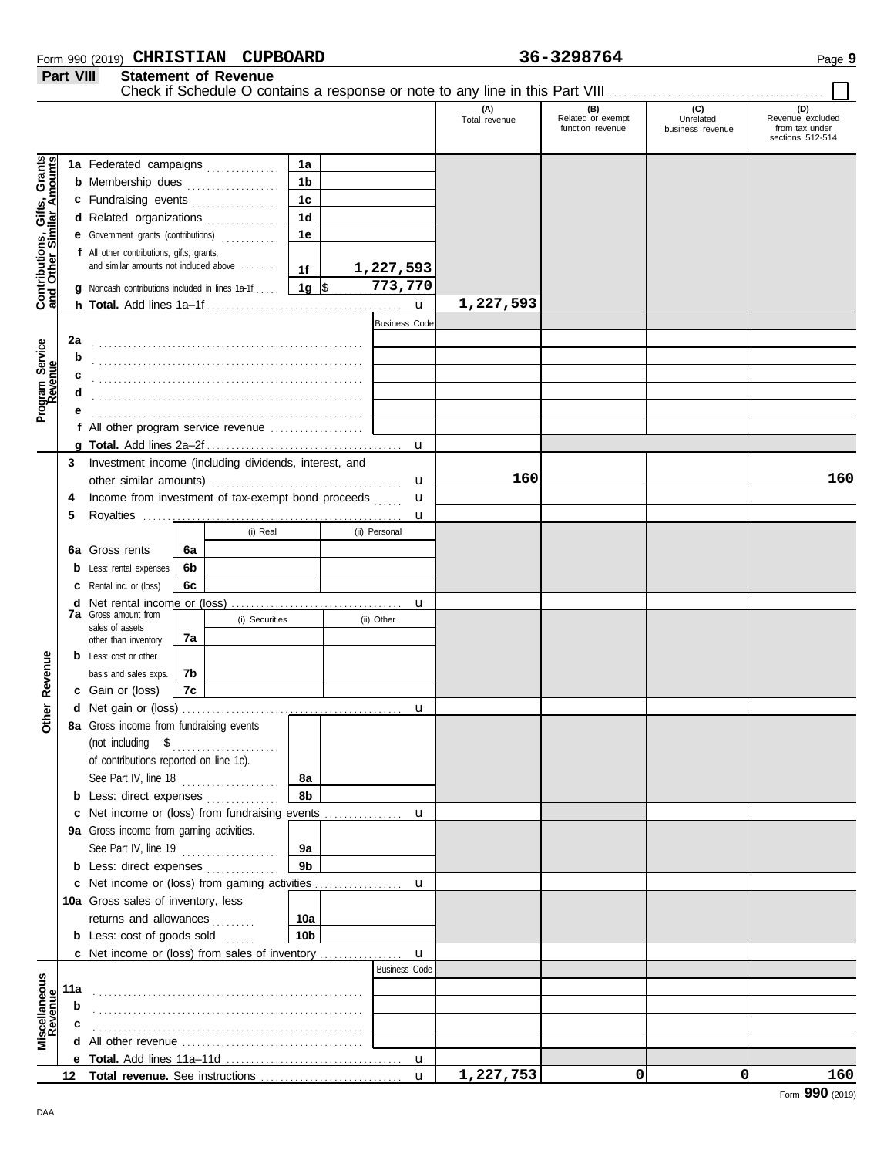### Form 990 (2019) Page **9 CHRISTIAN CUPBOARD 36-3298764 Part VIII Statement of Revenue**

|                                                                  |     |                                                                                              |    |                     |                |                      | (A)<br>Total revenue | (B)<br>Related or exempt<br>function revenue | (C)<br>Unrelated<br>business revenue | (D)<br>Revenue excluded<br>from tax under<br>sections 512-514 |
|------------------------------------------------------------------|-----|----------------------------------------------------------------------------------------------|----|---------------------|----------------|----------------------|----------------------|----------------------------------------------|--------------------------------------|---------------------------------------------------------------|
|                                                                  |     |                                                                                              |    |                     | 1a             |                      |                      |                                              |                                      |                                                               |
| <b>Contributions, Gifts, Grants</b><br>and Other Similar Amounts |     | 1a Federated campaigns<br><b>b</b> Membership dues <i>[[[[[[[[[[[[[[[[[[[[[[[[[[[]]]</i> ]]] |    |                     | 1 <sub>b</sub> |                      |                      |                                              |                                      |                                                               |
|                                                                  |     | c Fundraising events                                                                         |    |                     | 1 <sub>c</sub> |                      |                      |                                              |                                      |                                                               |
|                                                                  |     | d Related organizations                                                                      |    |                     | 1 <sub>d</sub> |                      |                      |                                              |                                      |                                                               |
|                                                                  |     | e Government grants (contributions)                                                          |    |                     | 1e             |                      |                      |                                              |                                      |                                                               |
|                                                                  |     | f All other contributions, gifts, grants,                                                    |    |                     |                |                      |                      |                                              |                                      |                                                               |
|                                                                  |     | and similar amounts not included above                                                       |    |                     |                | 1,227,593            |                      |                                              |                                      |                                                               |
|                                                                  |     | g Noncash contributions included in lines 1a-1f                                              |    | 1f<br>1g $\vert$ \$ | 773,770        |                      |                      |                                              |                                      |                                                               |
|                                                                  |     |                                                                                              |    |                     |                | $\mathbf{u}$         | 1,227,593            |                                              |                                      |                                                               |
|                                                                  |     |                                                                                              |    |                     |                | <b>Business Code</b> |                      |                                              |                                      |                                                               |
|                                                                  | 2a  |                                                                                              |    |                     |                |                      |                      |                                              |                                      |                                                               |
| Program Service<br>Revenue                                       | b   |                                                                                              |    |                     |                |                      |                      |                                              |                                      |                                                               |
|                                                                  |     |                                                                                              |    |                     |                |                      |                      |                                              |                                      |                                                               |
|                                                                  | d   |                                                                                              |    |                     |                |                      |                      |                                              |                                      |                                                               |
|                                                                  |     |                                                                                              |    |                     |                |                      |                      |                                              |                                      |                                                               |
|                                                                  |     | f All other program service revenue                                                          |    |                     |                |                      |                      |                                              |                                      |                                                               |
|                                                                  |     |                                                                                              |    |                     |                | u                    |                      |                                              |                                      |                                                               |
|                                                                  | 3   | Investment income (including dividends, interest, and                                        |    |                     |                |                      |                      |                                              |                                      |                                                               |
|                                                                  |     |                                                                                              |    |                     |                | u                    | 160                  |                                              |                                      | 160                                                           |
|                                                                  | 4   | Income from investment of tax-exempt bond proceeds                                           |    |                     |                | $\mathbf u$          |                      |                                              |                                      |                                                               |
|                                                                  | 5   |                                                                                              |    |                     |                | u                    |                      |                                              |                                      |                                                               |
|                                                                  |     |                                                                                              |    | (i) Real            |                | (ii) Personal        |                      |                                              |                                      |                                                               |
|                                                                  |     | 6a Gross rents                                                                               | 6a |                     |                |                      |                      |                                              |                                      |                                                               |
|                                                                  | b   | Less: rental expenses                                                                        | 6b |                     |                |                      |                      |                                              |                                      |                                                               |
|                                                                  | c   | Rental inc. or (loss)                                                                        | 6c |                     |                |                      |                      |                                              |                                      |                                                               |
|                                                                  | d   |                                                                                              |    |                     |                | u                    |                      |                                              |                                      |                                                               |
|                                                                  |     | <b>7a</b> Gross amount from<br>sales of assets                                               |    | (i) Securities      |                | (ii) Other           |                      |                                              |                                      |                                                               |
|                                                                  |     |                                                                                              | 7а |                     |                |                      |                      |                                              |                                      |                                                               |
|                                                                  |     | other than inventory<br><b>b</b> Less: cost or other                                         |    |                     |                |                      |                      |                                              |                                      |                                                               |
| Revenue                                                          |     | basis and sales exps.                                                                        | 7b |                     |                |                      |                      |                                              |                                      |                                                               |
|                                                                  |     | c Gain or (loss)                                                                             | 7c |                     |                |                      |                      |                                              |                                      |                                                               |
|                                                                  |     |                                                                                              |    |                     |                | u                    |                      |                                              |                                      |                                                               |
| <b>Other</b>                                                     |     | 8a Gross income from fundraising events                                                      |    |                     |                |                      |                      |                                              |                                      |                                                               |
|                                                                  |     | (not including \$                                                                            |    |                     |                |                      |                      |                                              |                                      |                                                               |
|                                                                  |     | of contributions reported on line 1c).                                                       |    | .                   |                |                      |                      |                                              |                                      |                                                               |
|                                                                  |     | See Part IV, line 18                                                                         |    |                     | 8а             |                      |                      |                                              |                                      |                                                               |
|                                                                  |     | <b>b</b> Less: direct expenses                                                               |    |                     | 8b             |                      |                      |                                              |                                      |                                                               |
|                                                                  | c   | Net income or (loss) from fundraising events                                                 |    |                     |                | u                    |                      |                                              |                                      |                                                               |
|                                                                  |     | 9a Gross income from gaming activities.                                                      |    |                     |                |                      |                      |                                              |                                      |                                                               |
|                                                                  |     | See Part IV, line 19                                                                         |    |                     | 9а             |                      |                      |                                              |                                      |                                                               |
|                                                                  |     | <b>b</b> Less: direct expenses                                                               |    |                     | 9 <sub>b</sub> |                      |                      |                                              |                                      |                                                               |
|                                                                  |     | c Net income or (loss) from gaming activities                                                |    |                     |                | u                    |                      |                                              |                                      |                                                               |
|                                                                  |     | 10a Gross sales of inventory, less                                                           |    |                     |                |                      |                      |                                              |                                      |                                                               |
|                                                                  |     | returns and allowances                                                                       |    |                     | 10a            |                      |                      |                                              |                                      |                                                               |
|                                                                  |     | <b>b</b> Less: cost of goods sold                                                            |    |                     | 10b            |                      |                      |                                              |                                      |                                                               |
|                                                                  |     |                                                                                              |    |                     |                | u                    |                      |                                              |                                      |                                                               |
|                                                                  |     |                                                                                              |    |                     |                | <b>Business Code</b> |                      |                                              |                                      |                                                               |
|                                                                  | 11a |                                                                                              |    |                     |                |                      |                      |                                              |                                      |                                                               |
|                                                                  | b   |                                                                                              |    |                     |                |                      |                      |                                              |                                      |                                                               |
|                                                                  | c   |                                                                                              |    |                     |                |                      |                      |                                              |                                      |                                                               |
| Miscellaneous<br>Revenue                                         |     |                                                                                              |    |                     |                |                      |                      |                                              |                                      |                                                               |
|                                                                  |     |                                                                                              |    |                     |                | $\mathbf u$          |                      |                                              |                                      |                                                               |
|                                                                  |     |                                                                                              |    |                     |                | $\mathbf{u}$         | 1,227,753            | 0                                            | 0                                    | 160                                                           |

Form **990** (2019)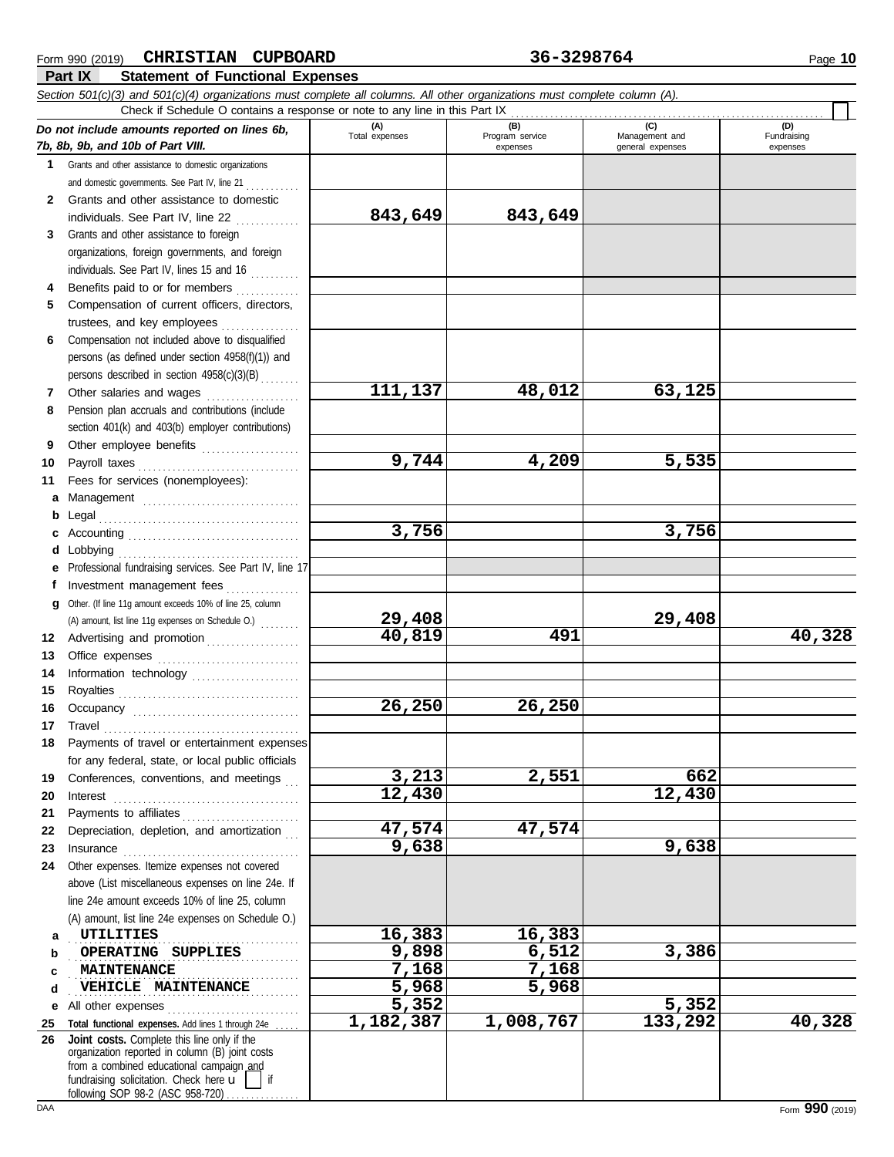**Part IX Statement of Functional Expenses**

#### *Section 501(c)(3) and 501(c)(4) organizations must complete all columns. All other organizations must complete column (A). Do not include amounts reported on lines 6b, 7b, 8b, 9b, and 10b of Part VIII.* **1 2 3** Grants and other assistance to foreign **4 5 6 7 8 9 10 11 a** Management ................................. **b** Legal . . . . . . . . . . . . . . . . . . . . . . . . . . . . . . . . . . . . . . . . . **c** Accounting . . . . . . . . . . . . . . . . . . . . . . . . . . . . . . . . . . . **d** Lobbying . . . . . . . . . . . . . . . . . . . . . . . . . . . . . . . . . . . . . **e** Professional fundraising services. See Part IV, line 17 **f g** Other. (If line 11g amount exceeds 10% of line 25, column **12** Advertising and promotion . . . . . . . . . . . . . . . . . . **13 14 15 16 17 18 19 20 21 22 23 24 a b c d e** All other expenses . . . . . . . . . . . . . . . . . . . . . . . . . . . **25 Total functional expenses.** Add lines 1 through 24e . . . . . **26** Grants and other assistance to domestic organizations and domestic governments. See Part IV, line 21 . . . . . . . . . . . Grants and other assistance to domestic individuals. See Part IV, line 22 . . . . . . . . . . . . . organizations, foreign governments, and foreign individuals. See Part IV, lines 15 and 16 Benefits paid to or for members ............. Compensation of current officers, directors, trustees, and key employees . . . . . . . . . . . . . . . . Compensation not included above to disqualified persons (as defined under section 4958(f)(1)) and persons described in section 4958(c)(3)(B) . . . . . . . . Other salaries and wages ................... Pension plan accruals and contributions (include section 401(k) and 403(b) employer contributions) Other employee benefits .................... Payroll taxes . . . . . . . . . . . . . . . . . . . . . . . . . . . . . . . . . Fees for services (nonemployees): Investment management fees ............... Office expenses ................................ Information technology ...................... Royalties . . . . . . . . . . . . . . . . . . . . . . . . . . . . . . . . . . . . . Occupancy . . . . . . . . . . . . . . . . . . . . . . . . . . . . . . . . . . Travel . . . . . . . . . . . . . . . . . . . . . . . . . . . . . . . . . . . . . . . . Payments of travel or entertainment expenses for any federal, state, or local public officials Conferences, conventions, and meetings Interest . . . . . . . . . . . . . . . . . . . . . . . . . . . . . . . . . . . . . . Payments to affiliates . . . . . . . . . . . . . . . . . . . . . . . . Depreciation, depletion, and amortization Insurance . . . . . . . . . . . . . . . . . . . . . . . . . . . . . . . . . . . . Other expenses. Itemize expenses not covered above (List miscellaneous expenses on line 24e. If line 24e amount exceeds 10% of line 25, column (A) amount, list line 24e expenses on Schedule O.) fundraising solicitation. Check here  $\mathbf{u}$  | if organization reported in column (B) joint costs from a combined educational campaign and following SOP 98-2 (ASC 958-720) **(A) (B) (C) (D)** Total expenses Program service Management and expenses | general expenses (D)<br>Fundraising expenses . . . . . . . . . . . . . . . . . . . . . . . . . . . . . . . . . . . . . . . . . . . . . . . **UTILITIES 16,383 16,383** . . . . . . . . . . . . . . . . . . . . . . . . . . . . . . . . . . . . . . . . . . . . . . . **OPERATING SUPPLIES 9,898 6,512 3,386 MAINTENANCE 1. 1.68 7,168 7,168 VEHICLE MAINTENANCE 5,968 5,968** Check if Schedule O contains a response or note to any line in this Part IX **Joint costs.** Complete this line only if the (A) amount, list line 11g expenses on Schedule O.) . . . . . . . . **843,649 843,649 111,137 48,012 63,125 9,744 4,209 5,535 3,756 3,756 29,408 29,408 40,819 491 40,328 26,250 26,250 3,213 2,551 662 12,430 12,430 47,574 47,574 9,638 9,638 5,352 5,352 1,182,387 1,008,767 133,292 40,328**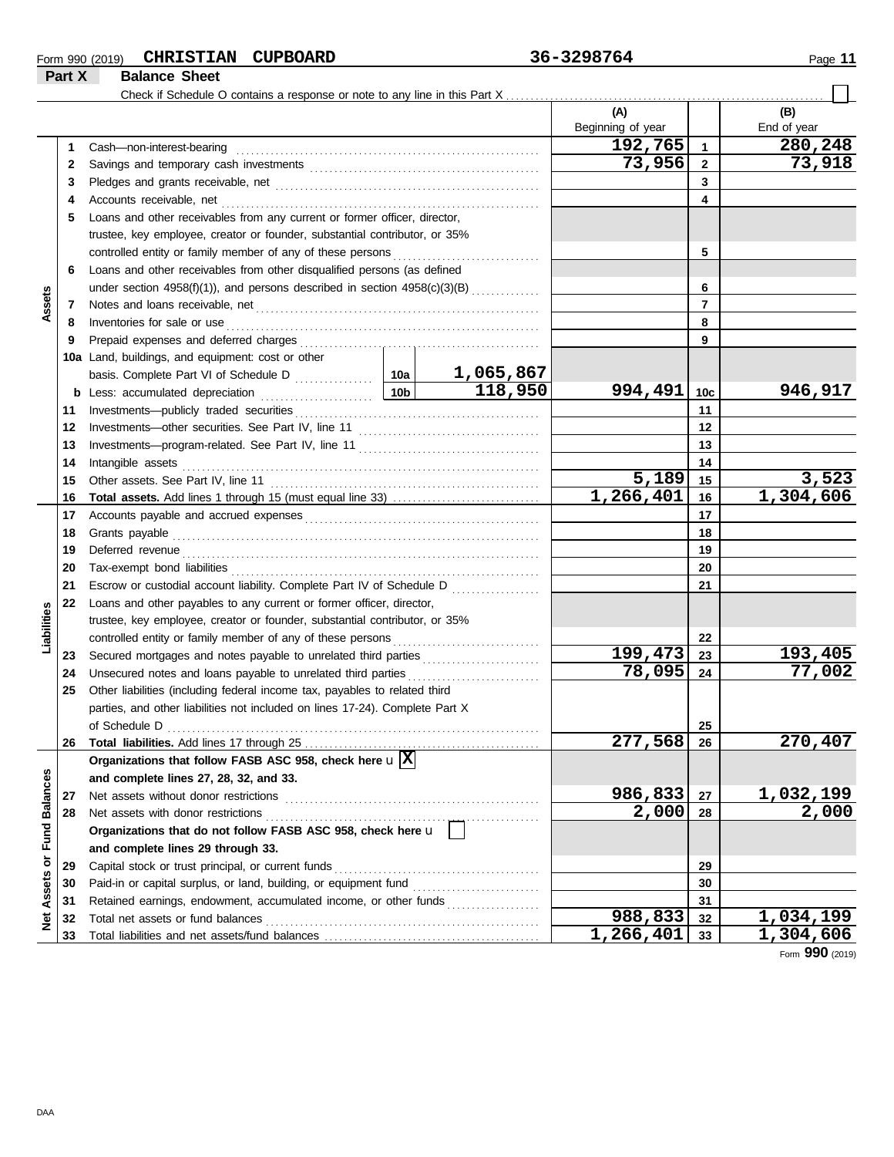## Form 990 (2019) Page **11 CHRISTIAN CUPBOARD 36-3298764**

**Part X Balance Sheet**

|                                |    |                                                                                                      |  |                             | (A)<br>Beginning of year |                 | (B)<br>End of year        |
|--------------------------------|----|------------------------------------------------------------------------------------------------------|--|-----------------------------|--------------------------|-----------------|---------------------------|
|                                | 1  | Cash-non-interest-bearing                                                                            |  |                             | 192,765                  | $\mathbf{1}$    | 280,248                   |
|                                | 2  |                                                                                                      |  |                             | 73,956                   | $\mathbf{2}$    | 73,918                    |
|                                | 3  |                                                                                                      |  |                             |                          | 3               |                           |
|                                | 4  | Accounts receivable, net                                                                             |  |                             |                          | 4               |                           |
|                                | 5  | Loans and other receivables from any current or former officer, director,                            |  |                             |                          |                 |                           |
|                                |    | trustee, key employee, creator or founder, substantial contributor, or 35%                           |  |                             |                          |                 |                           |
|                                |    | controlled entity or family member of any of these persons                                           |  |                             |                          | 5               |                           |
|                                | 6  | Loans and other receivables from other disqualified persons (as defined                              |  |                             |                          |                 |                           |
|                                |    | under section 4958(f)(1)), and persons described in section 4958(c)(3)(B)                            |  |                             |                          | 6               |                           |
| Assets                         | 7  | Notes and loans receivable, net                                                                      |  |                             | $\overline{7}$           |                 |                           |
|                                | 8  | Inventories for sale or use                                                                          |  |                             |                          | 8               |                           |
|                                | 9  |                                                                                                      |  |                             |                          | 9               |                           |
|                                |    | Prepaid expenses and deferred charges                                                                |  |                             |                          |                 |                           |
|                                |    | 10a Land, buildings, and equipment: cost or other                                                    |  |                             |                          |                 |                           |
|                                |    |                                                                                                      |  | $\frac{1,065,867}{118,950}$ | 994,491                  |                 | 946,917                   |
|                                |    | $\frac{1}{10b}$<br><b>b</b> Less: accumulated depreciation                                           |  |                             |                          | 10 <sub>c</sub> |                           |
|                                | 11 | Investments-publicly traded securities                                                               |  |                             |                          | 11              |                           |
|                                | 12 | Investments-other securities. See Part IV, line 11                                                   |  |                             | 12                       |                 |                           |
|                                | 13 |                                                                                                      |  |                             |                          | 13              |                           |
|                                | 14 | Intangible assets                                                                                    |  |                             | $\overline{5}$ , 189     | 14              |                           |
|                                | 15 | Other assets. See Part IV, line 11                                                                   |  |                             | 1,266,401                | 15              | 3,523<br>1,304,606        |
|                                | 16 |                                                                                                      |  |                             | 16                       |                 |                           |
|                                | 17 |                                                                                                      |  |                             | 17                       |                 |                           |
|                                | 18 | Grants payable                                                                                       |  | 18                          |                          |                 |                           |
|                                | 19 | Deferred revenue                                                                                     |  |                             | 19                       |                 |                           |
|                                | 20 | Tax-exempt bond liabilities                                                                          |  |                             |                          | 20              |                           |
|                                | 21 | Escrow or custodial account liability. Complete Part IV of Schedule D                                |  |                             |                          | 21              |                           |
|                                | 22 | Loans and other payables to any current or former officer, director,                                 |  |                             |                          |                 |                           |
| Liabilities                    |    | trustee, key employee, creator or founder, substantial contributor, or 35%                           |  |                             |                          |                 |                           |
|                                |    | controlled entity or family member of any of these persons                                           |  |                             | 199,473                  | 22              |                           |
|                                | 23 | Secured mortgages and notes payable to unrelated third parties [[[[[[[[[[[[[[[[[[[[[[[[[[[[[]]]]]]]] |  |                             | 78,095                   | 23              | 193,405                   |
|                                | 24 | Unsecured notes and loans payable to unrelated third parties                                         |  |                             |                          | 24              | 77,002                    |
|                                | 25 | Other liabilities (including federal income tax, payables to related third                           |  |                             |                          |                 |                           |
|                                |    | parties, and other liabilities not included on lines 17-24). Complete Part X                         |  |                             |                          |                 |                           |
|                                |    | of Schedule D                                                                                        |  |                             |                          | 25              |                           |
|                                | 26 |                                                                                                      |  |                             | 277,568                  | 26              | 270,407                   |
|                                |    | Organizations that follow FASB ASC 958, check here $\mathbf{u}[\overline{\mathbf{X}}]$               |  |                             |                          |                 |                           |
|                                |    | and complete lines 27, 28, 32, and 33.                                                               |  |                             |                          |                 |                           |
|                                | 27 | Net assets without donor restrictions                                                                |  |                             | 986,833<br>2,000         | 27              | <u>1,032,199</u><br>2,000 |
|                                | 28 | Net assets with donor restrictions                                                                   |  |                             |                          | 28              |                           |
|                                |    | Organizations that do not follow FASB ASC 958, check here u                                          |  |                             |                          |                 |                           |
| <b>Assets or Fund Balances</b> |    | and complete lines 29 through 33.                                                                    |  |                             |                          |                 |                           |
|                                | 29 | Capital stock or trust principal, or current funds                                                   |  |                             |                          | 29              |                           |
|                                | 30 |                                                                                                      |  |                             |                          | 30              |                           |
|                                | 31 | Retained earnings, endowment, accumulated income, or other funds                                     |  |                             | 988,833                  | 31              |                           |
| ğ                              | 32 | Total net assets or fund balances                                                                    |  |                             |                          | 32              | 1,034,199<br>1,304,606    |
|                                | 33 |                                                                                                      |  |                             | 1,266,401                | 33              |                           |

Form **990** (2019)

#### DAA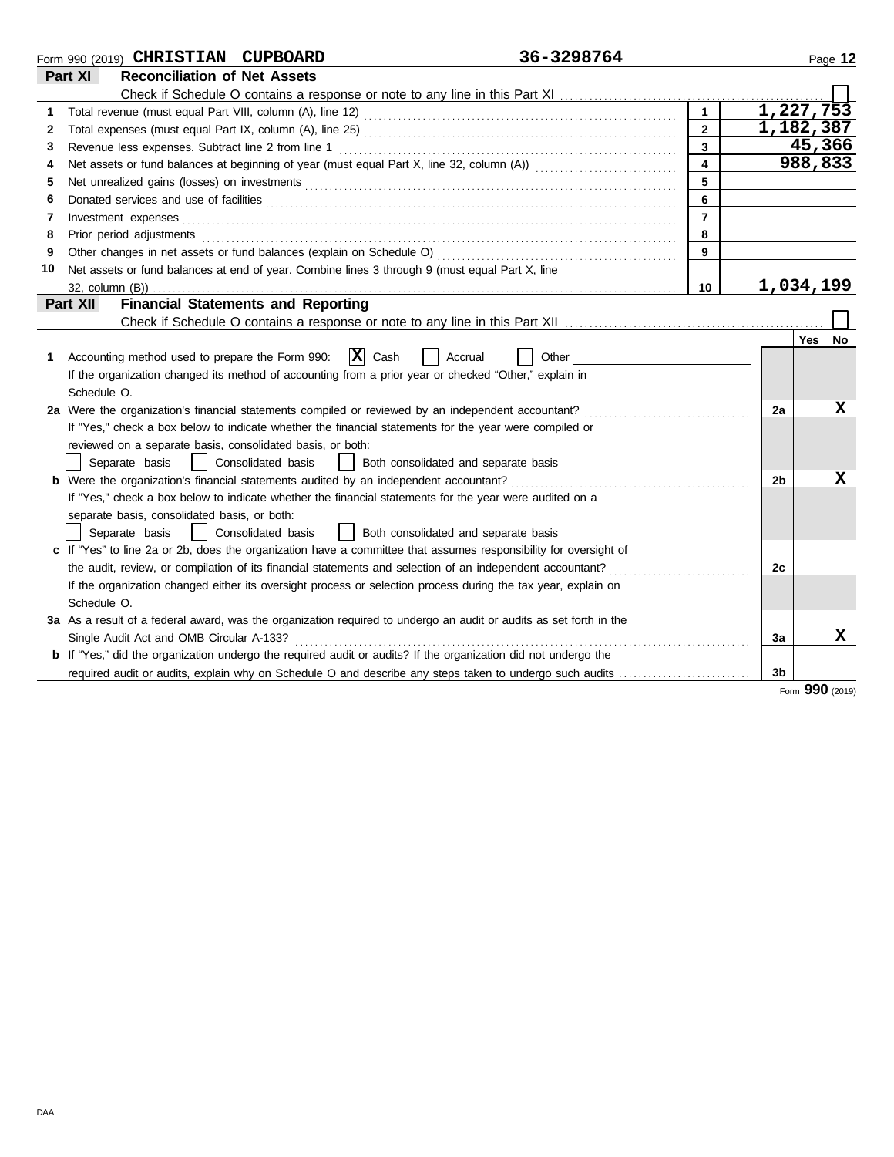|    | 36-3298764<br>Form 990 (2019) CHRISTIAN CUPBOARD                                                                      |                         |                |         | Page 12 |
|----|-----------------------------------------------------------------------------------------------------------------------|-------------------------|----------------|---------|---------|
|    | Part XI<br><b>Reconciliation of Net Assets</b>                                                                        |                         |                |         |         |
|    |                                                                                                                       |                         |                |         |         |
|    |                                                                                                                       |                         | 1,227,753      |         |         |
| 2  |                                                                                                                       | $\overline{2}$          | 1,182,387      |         |         |
| 3  |                                                                                                                       | $\overline{\mathbf{3}}$ |                | 45,366  |         |
| 4  | Net assets or fund balances at beginning of year (must equal Part X, line 32, column (A)) contational contact         | $\overline{\mathbf{4}}$ |                | 988,833 |         |
| 5  |                                                                                                                       | 5                       |                |         |         |
| 6  |                                                                                                                       | 6                       |                |         |         |
| 7  | Investment expenses                                                                                                   | $\overline{7}$          |                |         |         |
| 8  | Prior period adjustments                                                                                              | 8                       |                |         |         |
| 9  | Other changes in net assets or fund balances (explain on Schedule O)                                                  | 9                       |                |         |         |
| 10 | Net assets or fund balances at end of year. Combine lines 3 through 9 (must equal Part X, line                        |                         |                |         |         |
|    | 32, column (B))                                                                                                       | 10                      | 1,034,199      |         |         |
|    | <b>Financial Statements and Reporting</b><br>Part XII                                                                 |                         |                |         |         |
|    |                                                                                                                       |                         |                |         |         |
|    |                                                                                                                       |                         |                | Yes     | No      |
| 1  | $ X $ Cash<br>Accounting method used to prepare the Form 990:<br>Accrual<br>Other                                     |                         |                |         |         |
|    | If the organization changed its method of accounting from a prior year or checked "Other," explain in                 |                         |                |         |         |
|    | Schedule O.                                                                                                           |                         |                |         |         |
|    | 2a Were the organization's financial statements compiled or reviewed by an independent accountant?                    |                         | 2a             |         | x       |
|    | If "Yes," check a box below to indicate whether the financial statements for the year were compiled or                |                         |                |         |         |
|    | reviewed on a separate basis, consolidated basis, or both:                                                            |                         |                |         |         |
|    | Consolidated basis<br>Separate basis<br>Both consolidated and separate basis<br>$\perp$                               |                         |                |         |         |
|    | b Were the organization's financial statements audited by an independent accountant?                                  |                         | 2b             |         | х       |
|    | If "Yes," check a box below to indicate whether the financial statements for the year were audited on a               |                         |                |         |         |
|    | separate basis, consolidated basis, or both:                                                                          |                         |                |         |         |
|    | Separate basis<br>Consolidated basis<br>  Both consolidated and separate basis                                        |                         |                |         |         |
|    | If "Yes" to line 2a or 2b, does the organization have a committee that assumes responsibility for oversight of        |                         |                |         |         |
|    | the audit, review, or compilation of its financial statements and selection of an independent accountant?             |                         | 2 <sub>c</sub> |         |         |
|    | If the organization changed either its oversight process or selection process during the tax year, explain on         |                         |                |         |         |
|    | Schedule O.                                                                                                           |                         |                |         |         |
|    | 3a As a result of a federal award, was the organization required to undergo an audit or audits as set forth in the    |                         |                |         |         |
|    | Single Audit Act and OMB Circular A-133?                                                                              |                         | За             |         | x       |
|    | <b>b</b> If "Yes," did the organization undergo the required audit or audits? If the organization did not undergo the |                         |                |         |         |
|    | required audit or audits, explain why on Schedule O and describe any steps taken to undergo such audits               |                         | 3 <sub>b</sub> |         |         |

Form **990** (2019)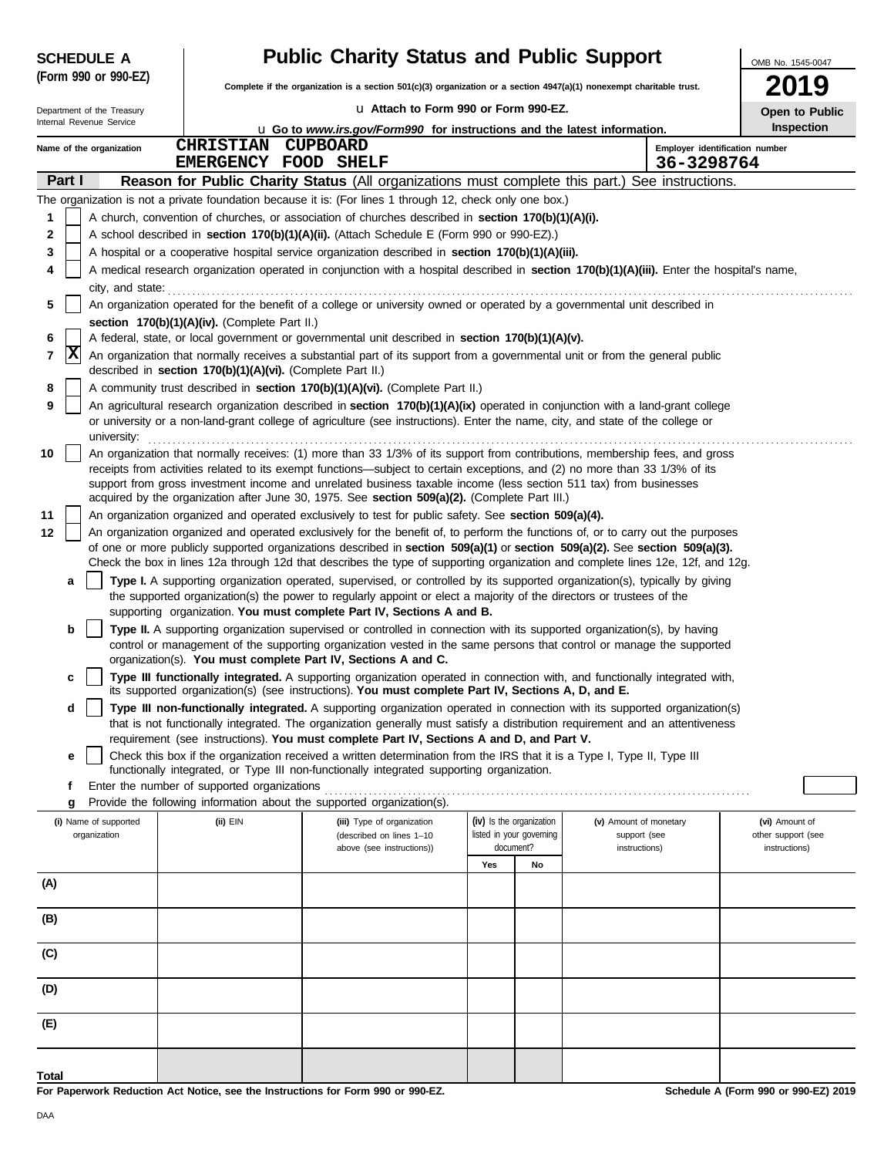| <b>SCHEDULE A</b> |                            |  | <b>Public Charity Status and Public Support</b>            | OMB No. 1545-0047                                                                                                                                                                                                                                               |                                                                                                        |                                       |                               |                                     |  |  |  |
|-------------------|----------------------------|--|------------------------------------------------------------|-----------------------------------------------------------------------------------------------------------------------------------------------------------------------------------------------------------------------------------------------------------------|--------------------------------------------------------------------------------------------------------|---------------------------------------|-------------------------------|-------------------------------------|--|--|--|
|                   | (Form 990 or 990-EZ)       |  |                                                            | Complete if the organization is a section $501(c)(3)$ organization or a section $4947(a)(1)$ nonexempt charitable trust.                                                                                                                                        |                                                                                                        |                                       |                               | 19                                  |  |  |  |
|                   | Department of the Treasury |  |                                                            | La Attach to Form 990 or Form 990-EZ.                                                                                                                                                                                                                           |                                                                                                        |                                       |                               | Open to Public                      |  |  |  |
|                   | Internal Revenue Service   |  |                                                            | <b>u</b> Go to www.irs.gov/Form990 for instructions and the latest information.                                                                                                                                                                                 |                                                                                                        |                                       |                               | Inspection                          |  |  |  |
|                   | Name of the organization   |  | <b>CHRISTIAN</b><br>EMERGENCY FOOD SHELF                   | <b>CUPBOARD</b>                                                                                                                                                                                                                                                 |                                                                                                        |                                       | 36-3298764                    | Employer identification number      |  |  |  |
|                   | Part I                     |  |                                                            |                                                                                                                                                                                                                                                                 | <b>Reason for Public Charity Status</b> (All organizations must complete this part.) See instructions. |                                       |                               |                                     |  |  |  |
|                   |                            |  |                                                            | The organization is not a private foundation because it is: (For lines 1 through 12, check only one box.)                                                                                                                                                       |                                                                                                        |                                       |                               |                                     |  |  |  |
| 1                 |                            |  |                                                            | A church, convention of churches, or association of churches described in section 170(b)(1)(A)(i).                                                                                                                                                              |                                                                                                        |                                       |                               |                                     |  |  |  |
| 2                 |                            |  |                                                            | A school described in section 170(b)(1)(A)(ii). (Attach Schedule E (Form 990 or 990-EZ).)                                                                                                                                                                       |                                                                                                        |                                       |                               |                                     |  |  |  |
| 3<br>4            |                            |  |                                                            | A hospital or a cooperative hospital service organization described in section 170(b)(1)(A)(iii).<br>A medical research organization operated in conjunction with a hospital described in section 170(b)(1)(A)(iii). Enter the hospital's name,                 |                                                                                                        |                                       |                               |                                     |  |  |  |
|                   | city, and state:           |  |                                                            |                                                                                                                                                                                                                                                                 |                                                                                                        |                                       |                               |                                     |  |  |  |
| 5                 |                            |  |                                                            | An organization operated for the benefit of a college or university owned or operated by a governmental unit described in                                                                                                                                       |                                                                                                        |                                       |                               |                                     |  |  |  |
|                   |                            |  | section 170(b)(1)(A)(iv). (Complete Part II.)              |                                                                                                                                                                                                                                                                 |                                                                                                        |                                       |                               |                                     |  |  |  |
| 6<br>7            | X                          |  |                                                            | A federal, state, or local government or governmental unit described in section 170(b)(1)(A)(v).<br>An organization that normally receives a substantial part of its support from a governmental unit or from the general public                                |                                                                                                        |                                       |                               |                                     |  |  |  |
|                   |                            |  | described in section 170(b)(1)(A)(vi). (Complete Part II.) |                                                                                                                                                                                                                                                                 |                                                                                                        |                                       |                               |                                     |  |  |  |
| 8                 |                            |  |                                                            | A community trust described in section 170(b)(1)(A)(vi). (Complete Part II.)                                                                                                                                                                                    |                                                                                                        |                                       |                               |                                     |  |  |  |
| 9                 |                            |  |                                                            | An agricultural research organization described in section 170(b)(1)(A)(ix) operated in conjunction with a land-grant college<br>or university or a non-land-grant college of agriculture (see instructions). Enter the name, city, and state of the college or |                                                                                                        |                                       |                               |                                     |  |  |  |
| 10                | university:                |  |                                                            | An organization that normally receives: (1) more than 33 1/3% of its support from contributions, membership fees, and gross                                                                                                                                     |                                                                                                        |                                       |                               |                                     |  |  |  |
|                   |                            |  |                                                            | receipts from activities related to its exempt functions—subject to certain exceptions, and (2) no more than 33 1/3% of its                                                                                                                                     |                                                                                                        |                                       |                               |                                     |  |  |  |
|                   |                            |  |                                                            | support from gross investment income and unrelated business taxable income (less section 511 tax) from businesses<br>acquired by the organization after June 30, 1975. See section 509(a)(2). (Complete Part III.)                                              |                                                                                                        |                                       |                               |                                     |  |  |  |
| 11                |                            |  |                                                            | An organization organized and operated exclusively to test for public safety. See section 509(a)(4).                                                                                                                                                            |                                                                                                        |                                       |                               |                                     |  |  |  |
| 12                |                            |  |                                                            | An organization organized and operated exclusively for the benefit of, to perform the functions of, or to carry out the purposes                                                                                                                                |                                                                                                        |                                       |                               |                                     |  |  |  |
|                   |                            |  |                                                            | of one or more publicly supported organizations described in section 509(a)(1) or section 509(a)(2). See section 509(a)(3).<br>Check the box in lines 12a through 12d that describes the type of supporting organization and complete lines 12e, 12f, and 12g.  |                                                                                                        |                                       |                               |                                     |  |  |  |
|                   | a                          |  |                                                            | Type I. A supporting organization operated, supervised, or controlled by its supported organization(s), typically by giving                                                                                                                                     |                                                                                                        |                                       |                               |                                     |  |  |  |
|                   |                            |  |                                                            | the supported organization(s) the power to regularly appoint or elect a majority of the directors or trustees of the                                                                                                                                            |                                                                                                        |                                       |                               |                                     |  |  |  |
|                   | b                          |  |                                                            | supporting organization. You must complete Part IV, Sections A and B.<br>Type II. A supporting organization supervised or controlled in connection with its supported organization(s), by having                                                                |                                                                                                        |                                       |                               |                                     |  |  |  |
|                   |                            |  |                                                            | control or management of the supporting organization vested in the same persons that control or manage the supported                                                                                                                                            |                                                                                                        |                                       |                               |                                     |  |  |  |
|                   |                            |  |                                                            | organization(s). You must complete Part IV, Sections A and C.                                                                                                                                                                                                   |                                                                                                        |                                       |                               |                                     |  |  |  |
|                   | c                          |  |                                                            | Type III functionally integrated. A supporting organization operated in connection with, and functionally integrated with,<br>its supported organization(s) (see instructions). You must complete Part IV, Sections A, D, and E.                                |                                                                                                        |                                       |                               |                                     |  |  |  |
|                   | d                          |  |                                                            | Type III non-functionally integrated. A supporting organization operated in connection with its supported organization(s)                                                                                                                                       |                                                                                                        |                                       |                               |                                     |  |  |  |
|                   |                            |  |                                                            | that is not functionally integrated. The organization generally must satisfy a distribution requirement and an attentiveness<br>requirement (see instructions). You must complete Part IV, Sections A and D, and Part V.                                        |                                                                                                        |                                       |                               |                                     |  |  |  |
|                   | е                          |  |                                                            | Check this box if the organization received a written determination from the IRS that it is a Type I, Type II, Type III                                                                                                                                         |                                                                                                        |                                       |                               |                                     |  |  |  |
|                   |                            |  |                                                            | functionally integrated, or Type III non-functionally integrated supporting organization.                                                                                                                                                                       |                                                                                                        |                                       |                               |                                     |  |  |  |
|                   | f<br>g                     |  | Enter the number of supported organizations                | Provide the following information about the supported organization(s).                                                                                                                                                                                          |                                                                                                        |                                       |                               |                                     |  |  |  |
|                   | (i) Name of supported      |  | (ii) EIN                                                   | (iii) Type of organization                                                                                                                                                                                                                                      |                                                                                                        | (iv) Is the organization              | (v) Amount of monetary        | (vi) Amount of                      |  |  |  |
|                   | organization               |  |                                                            | (described on lines 1-10<br>above (see instructions))                                                                                                                                                                                                           |                                                                                                        | listed in your governing<br>document? | support (see<br>instructions) | other support (see<br>instructions) |  |  |  |
|                   |                            |  |                                                            |                                                                                                                                                                                                                                                                 | Yes                                                                                                    | No                                    |                               |                                     |  |  |  |
| (A)               |                            |  |                                                            |                                                                                                                                                                                                                                                                 |                                                                                                        |                                       |                               |                                     |  |  |  |
| (B)               |                            |  |                                                            |                                                                                                                                                                                                                                                                 |                                                                                                        |                                       |                               |                                     |  |  |  |
|                   |                            |  |                                                            |                                                                                                                                                                                                                                                                 |                                                                                                        |                                       |                               |                                     |  |  |  |
| (C)               |                            |  |                                                            |                                                                                                                                                                                                                                                                 |                                                                                                        |                                       |                               |                                     |  |  |  |
| (D)               |                            |  |                                                            |                                                                                                                                                                                                                                                                 |                                                                                                        |                                       |                               |                                     |  |  |  |
| (E)               |                            |  |                                                            |                                                                                                                                                                                                                                                                 |                                                                                                        |                                       |                               |                                     |  |  |  |
| Total             |                            |  |                                                            |                                                                                                                                                                                                                                                                 |                                                                                                        |                                       |                               |                                     |  |  |  |
|                   |                            |  |                                                            |                                                                                                                                                                                                                                                                 |                                                                                                        |                                       |                               | 0.00E2000                           |  |  |  |

**For Paperwork Reduction Act Notice, see the Instructions for Form 990 or 990-EZ.**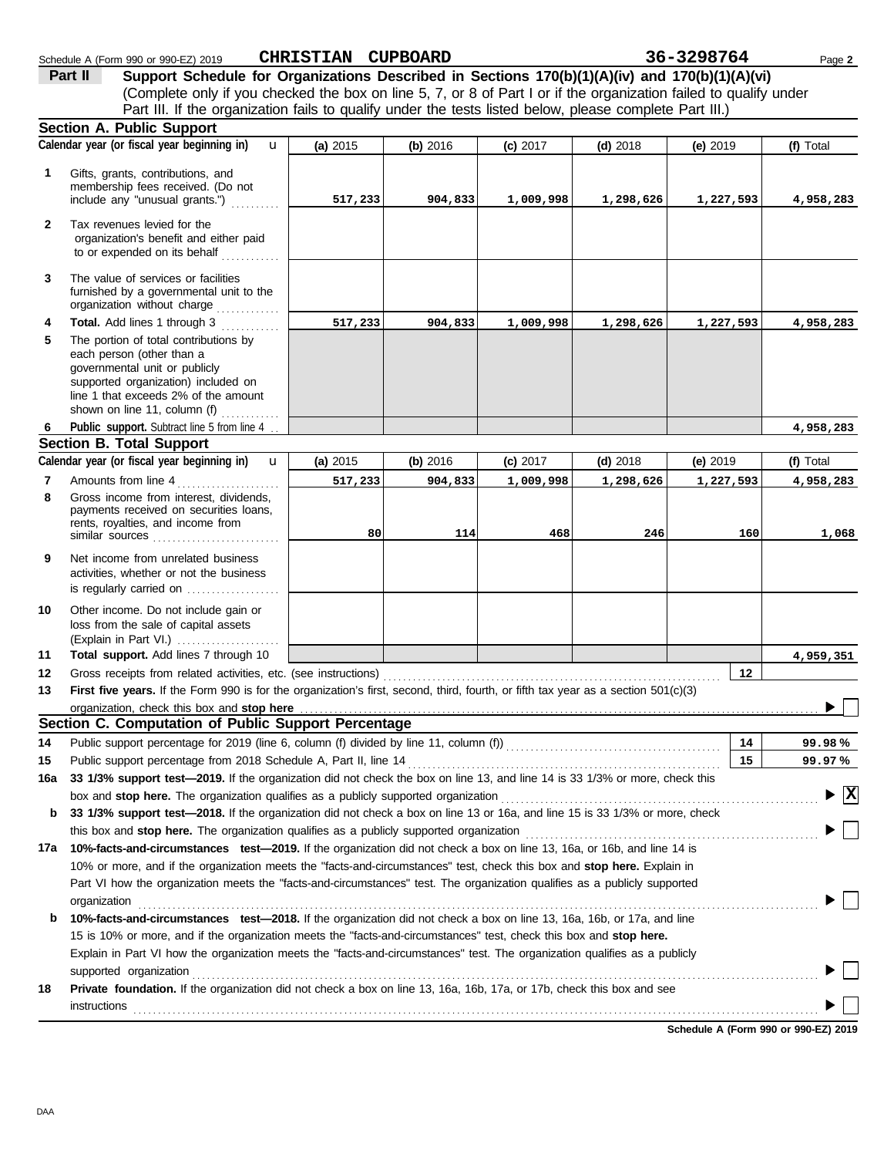|              | Schedule A (Form 990 or 990-EZ) 2019                                                                                                                                                                                                             | CHRISTIAN CUPBOARD |          |           |            | 36-3298764 | Page 2                          |
|--------------|--------------------------------------------------------------------------------------------------------------------------------------------------------------------------------------------------------------------------------------------------|--------------------|----------|-----------|------------|------------|---------------------------------|
|              | Support Schedule for Organizations Described in Sections 170(b)(1)(A)(iv) and 170(b)(1)(A)(vi)<br>Part II                                                                                                                                        |                    |          |           |            |            |                                 |
|              | (Complete only if you checked the box on line 5, 7, or 8 of Part I or if the organization failed to qualify under                                                                                                                                |                    |          |           |            |            |                                 |
|              | Part III. If the organization fails to qualify under the tests listed below, please complete Part III.)                                                                                                                                          |                    |          |           |            |            |                                 |
|              | <b>Section A. Public Support</b>                                                                                                                                                                                                                 |                    |          |           |            |            |                                 |
|              | Calendar year (or fiscal year beginning in)<br>$\mathbf{u}$                                                                                                                                                                                      | (a) 2015           | (b) 2016 | (c) 2017  | $(d)$ 2018 | (e) $2019$ | (f) Total                       |
| 1            | Gifts, grants, contributions, and                                                                                                                                                                                                                |                    |          |           |            |            |                                 |
|              | membership fees received. (Do not                                                                                                                                                                                                                |                    |          |           |            |            |                                 |
|              | include any "unusual grants.")                                                                                                                                                                                                                   | 517,233            | 904,833  | 1,009,998 | 1,298,626  | 1,227,593  | 4,958,283                       |
| $\mathbf{2}$ | Tax revenues levied for the<br>organization's benefit and either paid                                                                                                                                                                            |                    |          |           |            |            |                                 |
|              | to or expended on its behalf                                                                                                                                                                                                                     |                    |          |           |            |            |                                 |
| 3            | The value of services or facilities<br>furnished by a governmental unit to the<br>organization without charge                                                                                                                                    |                    |          |           |            |            |                                 |
| 4            | Total. Add lines 1 through 3                                                                                                                                                                                                                     | 517,233            | 904,833  | 1,009,998 | 1,298,626  | 1,227,593  | 4,958,283                       |
| 5            | The portion of total contributions by<br>each person (other than a<br>governmental unit or publicly<br>supported organization) included on<br>line 1 that exceeds 2% of the amount                                                               |                    |          |           |            |            |                                 |
|              | shown on line 11, column (f)                                                                                                                                                                                                                     |                    |          |           |            |            |                                 |
| 6            | Public support. Subtract line 5 from line 4<br><b>Section B. Total Support</b>                                                                                                                                                                   |                    |          |           |            |            | 4,958,283                       |
|              | Calendar year (or fiscal year beginning in)<br>$\mathbf{u}$                                                                                                                                                                                      | (a) 2015           | (b) 2016 | (c) 2017  | $(d)$ 2018 | (e) $2019$ | (f) Total                       |
| 7            | Amounts from line 4                                                                                                                                                                                                                              | 517,233            | 904,833  | 1,009,998 | 1,298,626  | 1,227,593  | 4,958,283                       |
| 8            | Gross income from interest, dividends,                                                                                                                                                                                                           |                    |          |           |            |            |                                 |
|              | payments received on securities loans,<br>rents, royalties, and income from<br>similar sources                                                                                                                                                   | 80                 | 114      | 468       | 246        | 160        | 1,068                           |
| 9            | Net income from unrelated business<br>activities, whether or not the business                                                                                                                                                                    |                    |          |           |            |            |                                 |
| 10           | Other income. Do not include gain or<br>loss from the sale of capital assets<br>(Explain in Part VI.)                                                                                                                                            |                    |          |           |            |            |                                 |
| 11           | Total support. Add lines 7 through 10                                                                                                                                                                                                            |                    |          |           |            |            | 4,959,351                       |
| 12           | Gross receipts from related activities, etc. (see instructions)                                                                                                                                                                                  |                    |          |           |            | 12         |                                 |
| 13           | First five years. If the Form 990 is for the organization's first, second, third, fourth, or fifth tax year as a section 501(c)(3)                                                                                                               |                    |          |           |            |            |                                 |
|              |                                                                                                                                                                                                                                                  |                    |          |           |            |            |                                 |
|              | Section C. Computation of Public Support Percentage                                                                                                                                                                                              |                    |          |           |            |            |                                 |
| 14           | Public support percentage for 2019 (line 6, column (f) divided by line 11, column (f)) [[[[[[[[[[[[[[[[[[[[[[                                                                                                                                    |                    |          |           |            | 14         | 99.98%                          |
| 15           | Public support percentage from 2018 Schedule A, Part II, line 14                                                                                                                                                                                 |                    |          |           |            | 15         | 99.97%                          |
| 16a          | 33 1/3% support test-2019. If the organization did not check the box on line 13, and line 14 is 33 1/3% or more, check this                                                                                                                      |                    |          |           |            |            |                                 |
|              | box and stop here. The organization qualifies as a publicly supported organization                                                                                                                                                               |                    |          |           |            |            | $\blacktriangleright$ $\vert$ X |
| b            | 33 1/3% support test-2018. If the organization did not check a box on line 13 or 16a, and line 15 is 33 1/3% or more, check                                                                                                                      |                    |          |           |            |            |                                 |
|              |                                                                                                                                                                                                                                                  |                    |          |           |            |            |                                 |
|              | 17a 10%-facts-and-circumstances test-2019. If the organization did not check a box on line 13, 16a, or 16b, and line 14 is                                                                                                                       |                    |          |           |            |            |                                 |
|              | 10% or more, and if the organization meets the "facts-and-circumstances" test, check this box and stop here. Explain in                                                                                                                          |                    |          |           |            |            |                                 |
|              | Part VI how the organization meets the "facts-and-circumstances" test. The organization qualifies as a publicly supported                                                                                                                        |                    |          |           |            |            |                                 |
|              | organization                                                                                                                                                                                                                                     |                    |          |           |            |            |                                 |
| b            | 10%-facts-and-circumstances test-2018. If the organization did not check a box on line 13, 16a, 16b, or 17a, and line                                                                                                                            |                    |          |           |            |            |                                 |
|              | 15 is 10% or more, and if the organization meets the "facts-and-circumstances" test, check this box and stop here.<br>Explain in Part VI how the organization meets the "facts-and-circumstances" test. The organization qualifies as a publicly |                    |          |           |            |            |                                 |
|              | supported organization                                                                                                                                                                                                                           |                    |          |           |            |            |                                 |
| 18           | Private foundation. If the organization did not check a box on line 13, 16a, 16b, 17a, or 17b, check this box and see                                                                                                                            |                    |          |           |            |            |                                 |
|              | instructions                                                                                                                                                                                                                                     |                    |          |           |            |            |                                 |
|              |                                                                                                                                                                                                                                                  |                    |          |           |            |            |                                 |

**Schedule A (Form 990 or 990-EZ) 2019**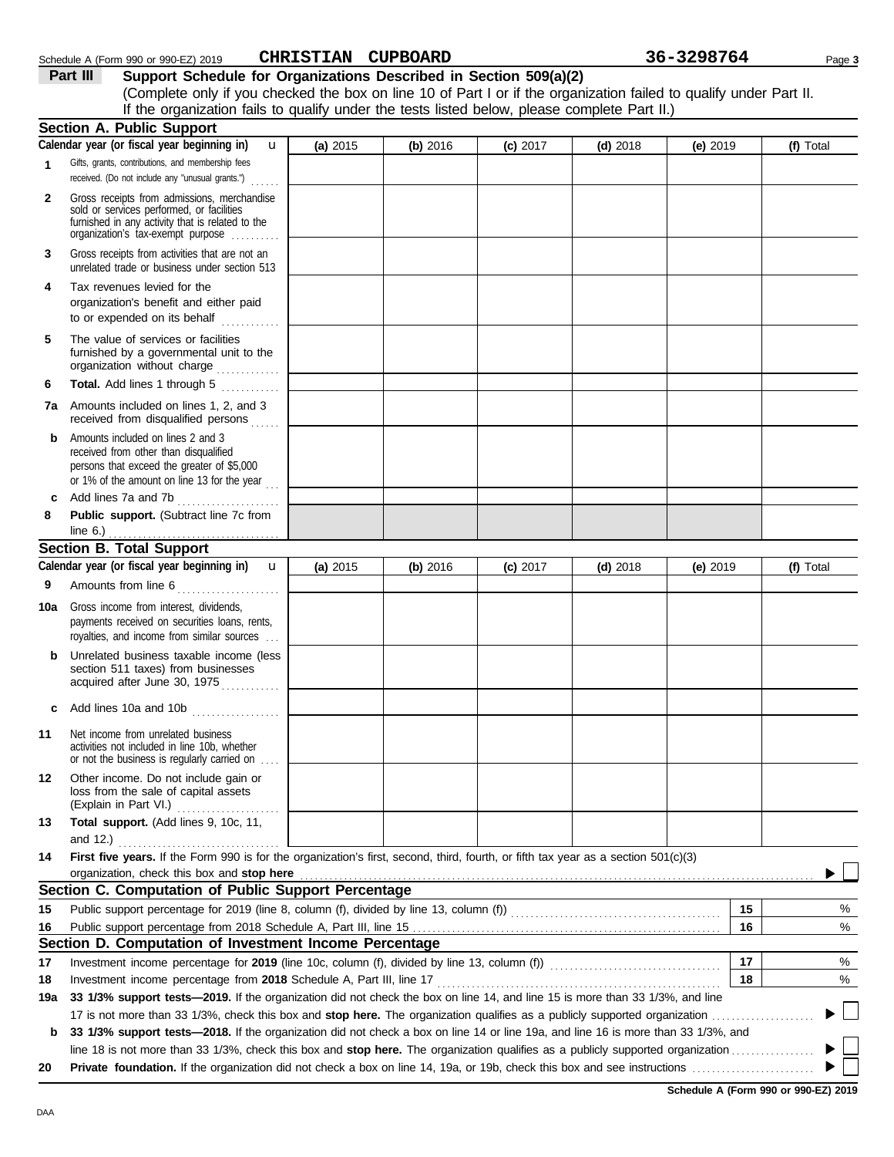|              | Fail III<br>Support Scriedule for Organizations Described in Section 309(a)(2)                                                                                                    |            |          |            |            |            |          |
|--------------|-----------------------------------------------------------------------------------------------------------------------------------------------------------------------------------|------------|----------|------------|------------|------------|----------|
|              | (Complete only if you checked the box on line 10 of Part I or if the organization failed to qualify under Part II.                                                                |            |          |            |            |            |          |
|              | If the organization fails to qualify under the tests listed below, please complete Part II.)<br><b>Section A. Public Support</b>                                                  |            |          |            |            |            |          |
|              | Calendar year (or fiscal year beginning in)<br>$\mathbf{u}$                                                                                                                       | (a) $2015$ | (b) 2016 | $(c)$ 2017 | $(d)$ 2018 | (e) $2019$ | $(f)$ To |
|              | Gifts, grants, contributions, and membership fees<br>received. (Do not include any "unusual grants.")                                                                             |            |          |            |            |            |          |
| $\mathbf{2}$ | Gross receipts from admissions, merchandise<br>sold or services performed, or facilities<br>furnished in any activity that is related to the<br>organization's fax-exempt purpose |            |          |            |            |            |          |
| 3            | Gross receipts from activities that are not an<br>unrelated trade or business under section 513                                                                                   |            |          |            |            |            |          |
| 4            | Tax revenues levied for the<br>organization's benefit and either paid<br>to or expended on its behalf                                                                             |            |          |            |            |            |          |
| 5            | The value of services or facilities<br>furnished by a governmental unit to the                                                                                                    |            |          |            |            |            |          |

organization without charge ..............

# **(a)** 2015 **(b)** 2016 **(c)** 2017 **(d)** 2018 **(e)** 2019 **(f)** Total

| 6   | <b>Total.</b> Add lines 1 through 5<br>.                                                                                                                                                                                                                                                                                                                                  |                            |          |            |            |            |           |
|-----|---------------------------------------------------------------------------------------------------------------------------------------------------------------------------------------------------------------------------------------------------------------------------------------------------------------------------------------------------------------------------|----------------------------|----------|------------|------------|------------|-----------|
| 7a  | Amounts included on lines 1, 2, and 3<br>received from disqualified persons                                                                                                                                                                                                                                                                                               |                            |          |            |            |            |           |
| b   | Amounts included on lines 2 and 3<br>received from other than disqualified<br>persons that exceed the greater of \$5,000<br>or 1% of the amount on line 13 for the year $\ldots$                                                                                                                                                                                          |                            |          |            |            |            |           |
|     | c Add lines 7a and 7b                                                                                                                                                                                                                                                                                                                                                     |                            |          |            |            |            |           |
| 8   | Public support. (Subtract line 7c from<br>line $6.$ )                                                                                                                                                                                                                                                                                                                     |                            |          |            |            |            |           |
|     | <b>Section B. Total Support</b>                                                                                                                                                                                                                                                                                                                                           |                            |          |            |            |            |           |
|     | Calendar year (or fiscal year beginning in)                                                                                                                                                                                                                                                                                                                               | (a) $2015$<br>$\mathbf{u}$ | (b) 2016 | $(c)$ 2017 | $(d)$ 2018 | (e) $2019$ | (f) Total |
| 9   | Amounts from line 6                                                                                                                                                                                                                                                                                                                                                       |                            |          |            |            |            |           |
| 10a | Gross income from interest, dividends,<br>payments received on securities loans, rents,<br>royalties, and income from similar sources                                                                                                                                                                                                                                     |                            |          |            |            |            |           |
|     | <b>b</b> Unrelated business taxable income (less<br>section 511 taxes) from businesses<br>acquired after June 30, 1975                                                                                                                                                                                                                                                    |                            |          |            |            |            |           |
| C   | Add lines 10a and 10b                                                                                                                                                                                                                                                                                                                                                     |                            |          |            |            |            |           |
| 11  | Net income from unrelated business<br>activities not included in line 10b, whether<br>or not the business is regularly carried on                                                                                                                                                                                                                                         |                            |          |            |            |            |           |
| 12  | Other income. Do not include gain or<br>loss from the sale of capital assets<br>(Explain in Part VI.)                                                                                                                                                                                                                                                                     |                            |          |            |            |            |           |
| 13  | Total support. (Add lines 9, 10c, 11,<br>and 12.) $\ldots$                                                                                                                                                                                                                                                                                                                |                            |          |            |            |            |           |
| 14  | First five years. If the Form 990 is for the organization's first, second, third, fourth, or fifth tax year as a section 501(c)(3)<br>organization, check this box and stop here <i>manufactured contained and stop</i> here and stop here are all the contained and stop here are all the contained and stop here are all the contained and stop here are all the contai |                            |          |            |            |            |           |
|     | Section C. Computation of Public Support Percentage                                                                                                                                                                                                                                                                                                                       |                            |          |            |            |            |           |
| 15  |                                                                                                                                                                                                                                                                                                                                                                           |                            |          |            |            | 15         | %         |
| 16  |                                                                                                                                                                                                                                                                                                                                                                           |                            |          |            |            | 16         | %         |
|     | Section D. Computation of Investment Income Percentage                                                                                                                                                                                                                                                                                                                    |                            |          |            |            |            |           |
| 17  |                                                                                                                                                                                                                                                                                                                                                                           |                            |          |            |            | 17         | %         |
| 18  |                                                                                                                                                                                                                                                                                                                                                                           |                            |          |            |            | 18         | %         |
| 19a | 33 1/3% support tests—2019. If the organization did not check the box on line 14, and line 15 is more than 33 1/3%, and line                                                                                                                                                                                                                                              |                            |          |            |            |            |           |
|     |                                                                                                                                                                                                                                                                                                                                                                           |                            |          |            |            |            |           |
| b   | 33 1/3% support tests-2018. If the organization did not check a box on line 14 or line 19a, and line 16 is more than 33 1/3%, and                                                                                                                                                                                                                                         |                            |          |            |            |            |           |
|     |                                                                                                                                                                                                                                                                                                                                                                           |                            |          |            |            |            |           |
| 20  |                                                                                                                                                                                                                                                                                                                                                                           |                            |          |            |            |            |           |

**Part III Support Schedule for Organizations Described in Section 509(a)(2)**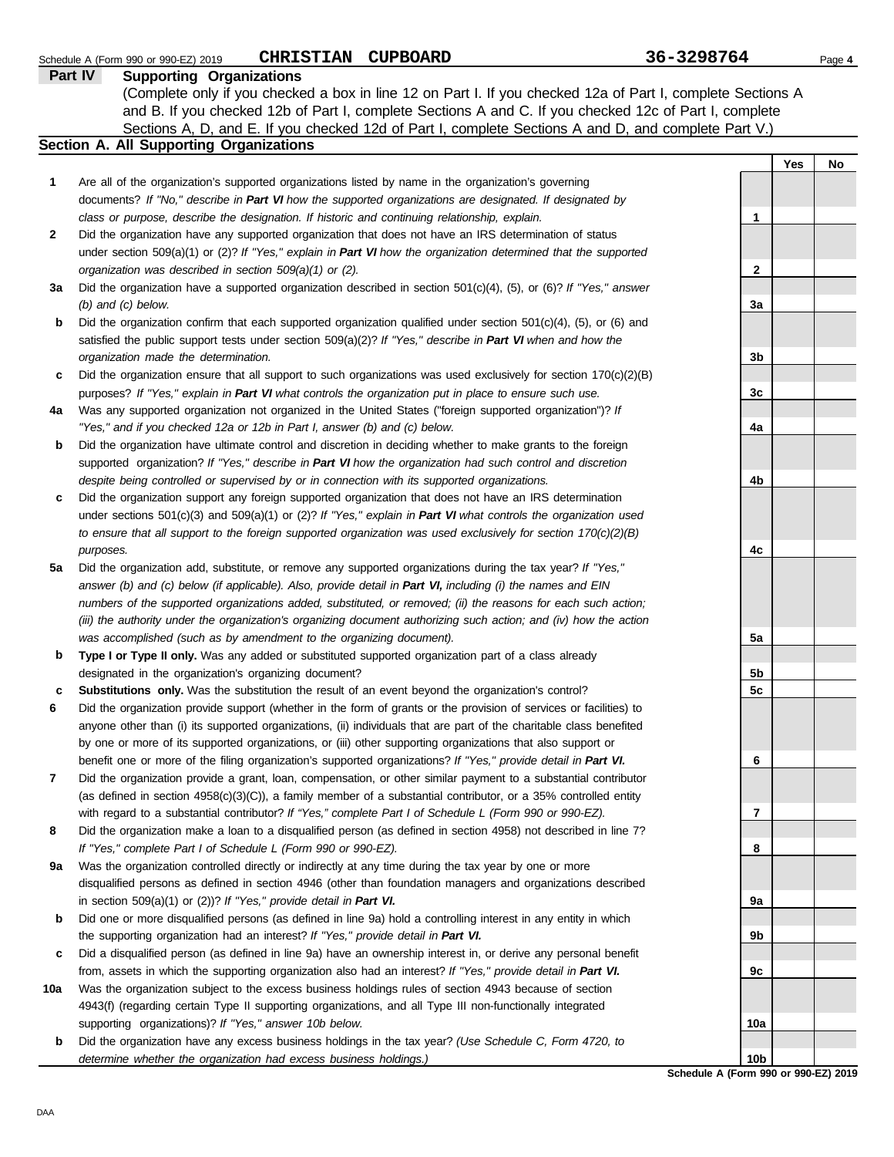**Section A. All Supporting Organizations**

**Yes No 1 2 3a 3b 3c 4a 4b 4c 5a 5b 5c 6 7 8**

Are all of the organization's supported organizations listed by name in the organization's governing documents? *If "No," describe in Part VI how the supported organizations are designated. If designated by class or purpose, describe the designation. If historic and continuing relationship, explain.* Did the organization have any supported organization that does not have an IRS determination of status under section 509(a)(1) or (2)? *If "Yes," explain in Part VI how the organization determined that the supported organization was described in section 509(a)(1) or (2).* **1 2 3a** Did the organization have a supported organization described in section 501(c)(4), (5), or (6)? *If "Yes," answer* **b c** Did the organization ensure that all support to such organizations was used exclusively for section 170(c)(2)(B) **4a b** Did the organization have ultimate control and discretion in deciding whether to make grants to the foreign **c** Did the organization support any foreign supported organization that does not have an IRS determination **5a** Did the organization add, substitute, or remove any supported organizations during the tax year? *If "Yes,"* **b c 6 7 8 9a b c 10a b** *(b) and (c) below.* Did the organization confirm that each supported organization qualified under section 501(c)(4), (5), or (6) and satisfied the public support tests under section 509(a)(2)? *If "Yes," describe in Part VI when and how the organization made the determination.* purposes? *If "Yes," explain in Part VI what controls the organization put in place to ensure such use.* Was any supported organization not organized in the United States ("foreign supported organization")? *If "Yes," and if you checked 12a or 12b in Part I, answer (b) and (c) below.* supported organization? *If "Yes," describe in Part VI how the organization had such control and discretion despite being controlled or supervised by or in connection with its supported organizations.* under sections 501(c)(3) and 509(a)(1) or (2)? *If "Yes," explain in Part VI what controls the organization used to ensure that all support to the foreign supported organization was used exclusively for section 170(c)(2)(B) purposes. answer (b) and (c) below (if applicable). Also, provide detail in Part VI, including (i) the names and EIN numbers of the supported organizations added, substituted, or removed; (ii) the reasons for each such action; (iii) the authority under the organization's organizing document authorizing such action; and (iv) how the action was accomplished (such as by amendment to the organizing document).* **Type I or Type II only.** Was any added or substituted supported organization part of a class already designated in the organization's organizing document? **Substitutions only.** Was the substitution the result of an event beyond the organization's control? Did the organization provide support (whether in the form of grants or the provision of services or facilities) to anyone other than (i) its supported organizations, (ii) individuals that are part of the charitable class benefited by one or more of its supported organizations, or (iii) other supporting organizations that also support or benefit one or more of the filing organization's supported organizations? *If "Yes," provide detail in Part VI.* Did the organization provide a grant, loan, compensation, or other similar payment to a substantial contributor (as defined in section 4958(c)(3)(C)), a family member of a substantial contributor, or a 35% controlled entity with regard to a substantial contributor? *If "Yes," complete Part I of Schedule L (Form 990 or 990-EZ).* Did the organization make a loan to a disqualified person (as defined in section 4958) not described in line 7? *If "Yes," complete Part I of Schedule L (Form 990 or 990-EZ).* Was the organization controlled directly or indirectly at any time during the tax year by one or more disqualified persons as defined in section 4946 (other than foundation managers and organizations described in section 509(a)(1) or (2))? *If "Yes," provide detail in Part VI.* Did one or more disqualified persons (as defined in line 9a) hold a controlling interest in any entity in which the supporting organization had an interest? *If "Yes," provide detail in Part VI.* Did a disqualified person (as defined in line 9a) have an ownership interest in, or derive any personal benefit from, assets in which the supporting organization also had an interest? *If "Yes," provide detail in Part VI.* Was the organization subject to the excess business holdings rules of section 4943 because of section 4943(f) (regarding certain Type II supporting organizations, and all Type III non-functionally integrated supporting organizations)? *If "Yes," answer 10b below.* Did the organization have any excess business holdings in the tax year? *(Use Schedule C, Form 4720, to determine whether the organization had excess business holdings.)* **9a 9b 9c 10a 10b**

**Schedule A (Form 990 or 990-EZ) 2019**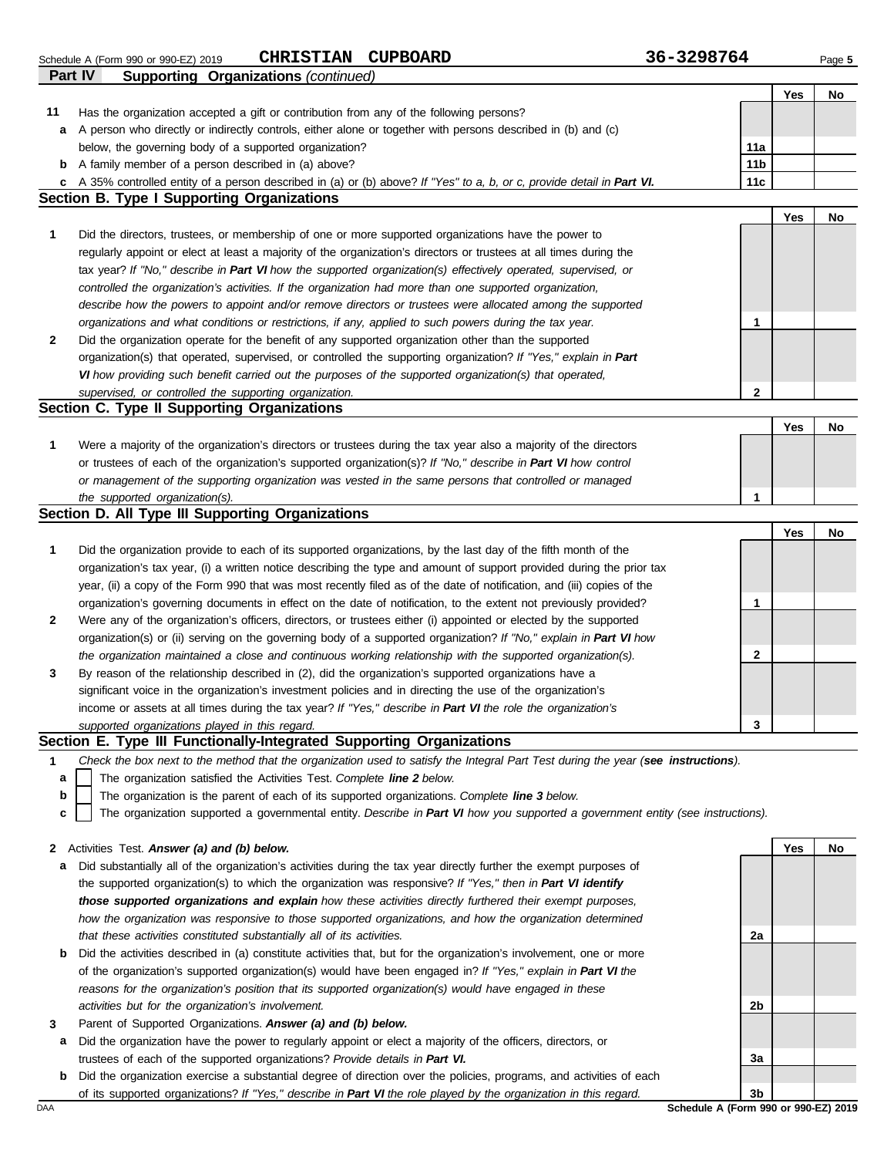|              | CHRISTIAN CUPBOARD<br>Schedule A (Form 990 or 990-EZ) 2019                                                              | 36-3298764      |            | Page 5 |
|--------------|-------------------------------------------------------------------------------------------------------------------------|-----------------|------------|--------|
|              | Part IV<br><b>Supporting Organizations (continued)</b>                                                                  |                 |            |        |
|              |                                                                                                                         |                 | <b>Yes</b> | No     |
| 11           | Has the organization accepted a gift or contribution from any of the following persons?                                 |                 |            |        |
|              | a A person who directly or indirectly controls, either alone or together with persons described in (b) and (c)          |                 |            |        |
|              | below, the governing body of a supported organization?                                                                  | 11a             |            |        |
|              | <b>b</b> A family member of a person described in (a) above?                                                            | 11 <sub>b</sub> |            |        |
|              | c A 35% controlled entity of a person described in (a) or (b) above? If "Yes" to a, b, or c, provide detail in Part VI. | 11c             |            |        |
|              | Section B. Type I Supporting Organizations                                                                              |                 |            |        |
|              |                                                                                                                         |                 | Yes        | No     |
| 1            | Did the directors, trustees, or membership of one or more supported organizations have the power to                     |                 |            |        |
|              | regularly appoint or elect at least a majority of the organization's directors or trustees at all times during the      |                 |            |        |
|              | tax year? If "No," describe in Part VI how the supported organization(s) effectively operated, supervised, or           |                 |            |        |
|              | controlled the organization's activities. If the organization had more than one supported organization,                 |                 |            |        |
|              | describe how the powers to appoint and/or remove directors or trustees were allocated among the supported               |                 |            |        |
|              | organizations and what conditions or restrictions, if any, applied to such powers during the tax year.                  | 1               |            |        |
| $\mathbf{2}$ | Did the organization operate for the benefit of any supported organization other than the supported                     |                 |            |        |
|              | organization(s) that operated, supervised, or controlled the supporting organization? If "Yes," explain in Part         |                 |            |        |
|              | VI how providing such benefit carried out the purposes of the supported organization(s) that operated,                  |                 |            |        |
|              | supervised, or controlled the supporting organization.                                                                  | $\mathbf{2}$    |            |        |
|              |                                                                                                                         |                 |            |        |
|              | Section C. Type II Supporting Organizations                                                                             |                 |            |        |
|              |                                                                                                                         |                 | Yes        | No     |
| 1            | Were a majority of the organization's directors or trustees during the tax year also a majority of the directors        |                 |            |        |
|              | or trustees of each of the organization's supported organization(s)? If "No," describe in Part VI how control           |                 |            |        |
|              | or management of the supporting organization was vested in the same persons that controlled or managed                  |                 |            |        |
|              | the supported organization(s).                                                                                          | 1               |            |        |
|              | Section D. All Type III Supporting Organizations                                                                        |                 |            |        |
|              |                                                                                                                         |                 | Yes        | No     |
| 1            | Did the organization provide to each of its supported organizations, by the last day of the fifth month of the          |                 |            |        |
|              | organization's tax year, (i) a written notice describing the type and amount of support provided during the prior tax   |                 |            |        |
|              | year, (ii) a copy of the Form 990 that was most recently filed as of the date of notification, and (iii) copies of the  |                 |            |        |
|              | organization's governing documents in effect on the date of notification, to the extent not previously provided?        | 1               |            |        |
| 2            | Were any of the organization's officers, directors, or trustees either (i) appointed or elected by the supported        |                 |            |        |
|              | organization(s) or (ii) serving on the governing body of a supported organization? If "No," explain in Part VI how      |                 |            |        |
|              | the organization maintained a close and continuous working relationship with the supported organization(s).             | $\mathbf{2}$    |            |        |
| 3            | By reason of the relationship described in (2), did the organization's supported organizations have a                   |                 |            |        |
|              | significant voice in the organization's investment policies and in directing the use of the organization's              |                 |            |        |
|              | income or assets at all times during the tax year? If "Yes," describe in Part VI the role the organization's            |                 |            |        |
|              | supported organizations played in this regard.<br>Section E. Type III Functionally-Integrated Supporting Organizations  | 3               |            |        |

**1** *Check the box next to the method that the organization used to satisfy the Integral Part Test during the year (see instructions).*

The organization satisfied the Activities Test. *Complete line 2 below.* **a**

The organization is the parent of each of its supported organizations. *Complete line 3 below.*

The organization supported a governmental entity. *Describe in Part VI how you supported a government entity (see instructions).* **c**

- **a** Did substantially all of the organization's activities during the tax year directly further the exempt purposes of the supported organization(s) to which the organization was responsive? *If "Yes," then in Part VI identify those supported organizations and explain how these activities directly furthered their exempt purposes, how the organization was responsive to those supported organizations, and how the organization determined that these activities constituted substantially all of its activities.*
- **b** Did the activities described in (a) constitute activities that, but for the organization's involvement, one or more of the organization's supported organization(s) would have been engaged in? *If "Yes," explain in Part VI the reasons for the organization's position that its supported organization(s) would have engaged in these activities but for the organization's involvement.*
- **3** Parent of Supported Organizations. *Answer (a) and (b) below.*
- **a** Did the organization have the power to regularly appoint or elect a majority of the officers, directors, or trustees of each of the supported organizations? *Provide details in Part VI.*
- **b** Did the organization exercise a substantial degree of direction over the policies, programs, and activities of each of its supported organizations? *If "Yes," describe in Part VI the role played by the organization in this regard.*

**Yes No 2a 2b 3a 3b**

**b**

**<sup>2</sup>** Activities Test. *Answer (a) and (b) below.*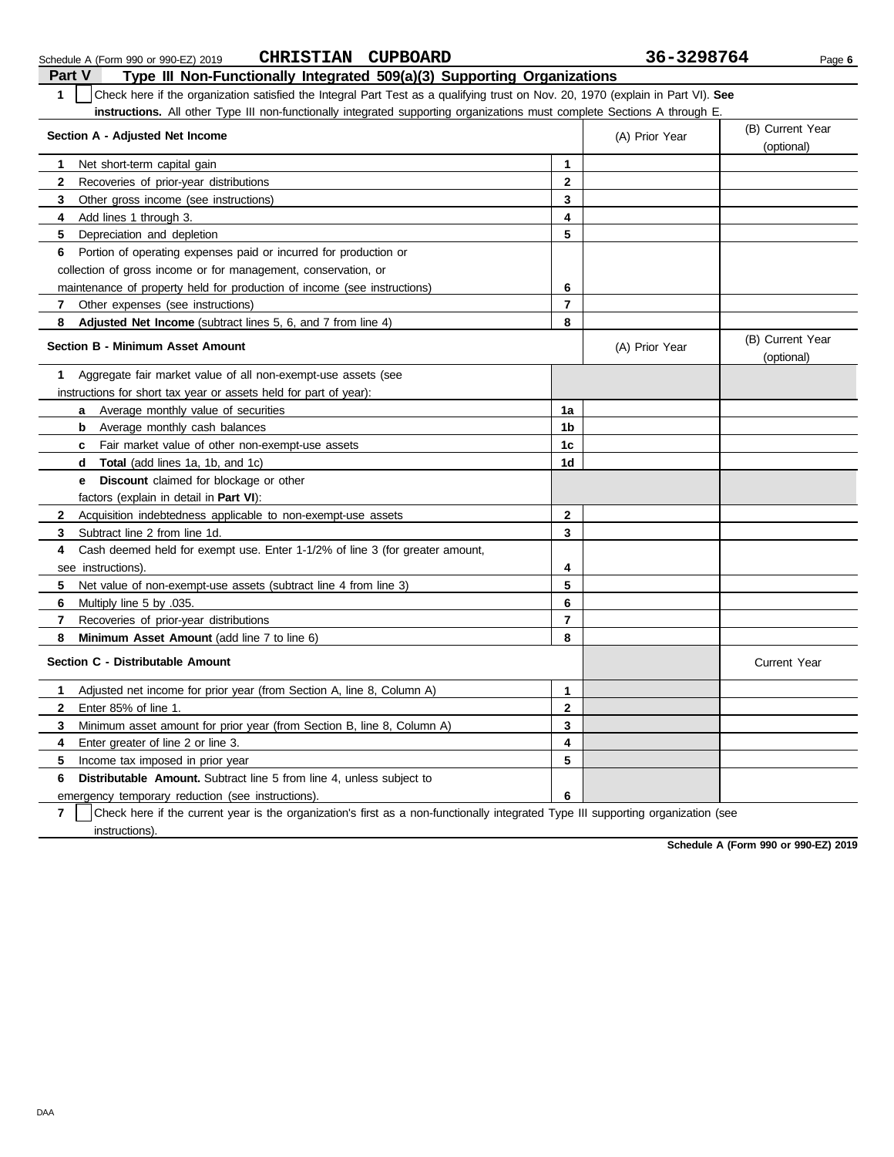| Check here if the organization satisfied the Integral Part Test as a qualifying trust on Nov. 20, 1970 (explain in Part VI). See<br>$\mathbf{1}$ |                |                |                                |
|--------------------------------------------------------------------------------------------------------------------------------------------------|----------------|----------------|--------------------------------|
| instructions. All other Type III non-functionally integrated supporting organizations must complete Sections A through E.                        |                |                |                                |
| Section A - Adjusted Net Income                                                                                                                  |                | (A) Prior Year | (B) Current Year<br>(optional) |
| Net short-term capital gain<br>1                                                                                                                 | 1              |                |                                |
| $\mathbf{2}$<br>Recoveries of prior-year distributions                                                                                           | $\mathbf{2}$   |                |                                |
| 3<br>Other gross income (see instructions)                                                                                                       | 3              |                |                                |
| Add lines 1 through 3.<br>4                                                                                                                      | 4              |                |                                |
| 5<br>Depreciation and depletion                                                                                                                  | 5              |                |                                |
| Portion of operating expenses paid or incurred for production or<br>6                                                                            |                |                |                                |
| collection of gross income or for management, conservation, or                                                                                   |                |                |                                |
| maintenance of property held for production of income (see instructions)                                                                         | 6              |                |                                |
| Other expenses (see instructions)<br>7                                                                                                           | $\overline{7}$ |                |                                |
| Adjusted Net Income (subtract lines 5, 6, and 7 from line 4)<br>8                                                                                | 8              |                |                                |
| <b>Section B - Minimum Asset Amount</b>                                                                                                          |                | (A) Prior Year | (B) Current Year<br>(optional) |
| Aggregate fair market value of all non-exempt-use assets (see<br>1                                                                               |                |                |                                |
| instructions for short tax year or assets held for part of year):                                                                                |                |                |                                |
| <b>a</b> Average monthly value of securities                                                                                                     | 1a             |                |                                |
| <b>b</b> Average monthly cash balances                                                                                                           | 1 <sub>b</sub> |                |                                |
| Fair market value of other non-exempt-use assets<br>c.                                                                                           | 1 <sub>c</sub> |                |                                |
| <b>Total</b> (add lines 1a, 1b, and 1c)<br>d                                                                                                     | 1 <sub>d</sub> |                |                                |
| <b>Discount</b> claimed for blockage or other<br>е                                                                                               |                |                |                                |
| factors (explain in detail in Part VI):                                                                                                          |                |                |                                |
| $\mathbf{2}$<br>Acquisition indebtedness applicable to non-exempt-use assets                                                                     | $\mathbf{2}$   |                |                                |
| Subtract line 2 from line 1d.<br>3                                                                                                               | 3              |                |                                |
| Cash deemed held for exempt use. Enter 1-1/2% of line 3 (for greater amount,<br>4                                                                |                |                |                                |
| see instructions).                                                                                                                               | 4              |                |                                |
| 5.<br>Net value of non-exempt-use assets (subtract line 4 from line 3)                                                                           | 5              |                |                                |
| 6<br>.035. Multiply line 5 by                                                                                                                    | 6              |                |                                |
| 7<br>Recoveries of prior-year distributions                                                                                                      | $\overline{7}$ |                |                                |
| Minimum Asset Amount (add line 7 to line 6)<br>8                                                                                                 | 8              |                |                                |
| Section C - Distributable Amount                                                                                                                 |                |                | <b>Current Year</b>            |
| Adjusted net income for prior year (from Section A, line 8, Column A)<br>1                                                                       | $\mathbf{1}$   |                |                                |
| Enter 85% of line 1.<br>$\mathbf{2}$                                                                                                             | $\mathbf{2}$   |                |                                |
| 3<br>Minimum asset amount for prior year (from Section B, line 8, Column A)                                                                      | 3              |                |                                |
| 4<br>Enter greater of line 2 or line 3.                                                                                                          | 4              |                |                                |
| 5<br>Income tax imposed in prior year                                                                                                            | 5              |                |                                |
| <b>Distributable Amount.</b> Subtract line 5 from line 4, unless subject to<br>6                                                                 |                |                |                                |
| emergency temporary reduction (see instructions).                                                                                                | 6              |                |                                |

**7** | Check here if the current year is the organization's first as a non-functionally integrated Type III supporting organization (see instructions).

**Schedule A (Form 990 or 990-EZ) 2019**

### **Part V Type III Non-Functionally Integrated 509(a)(3) Supporting Organizations Schedule A (Form 990 or 990-EZ) 2019 CHRISTIAN CUPBOARD 1998 10 12 136 - 3298764** Page 6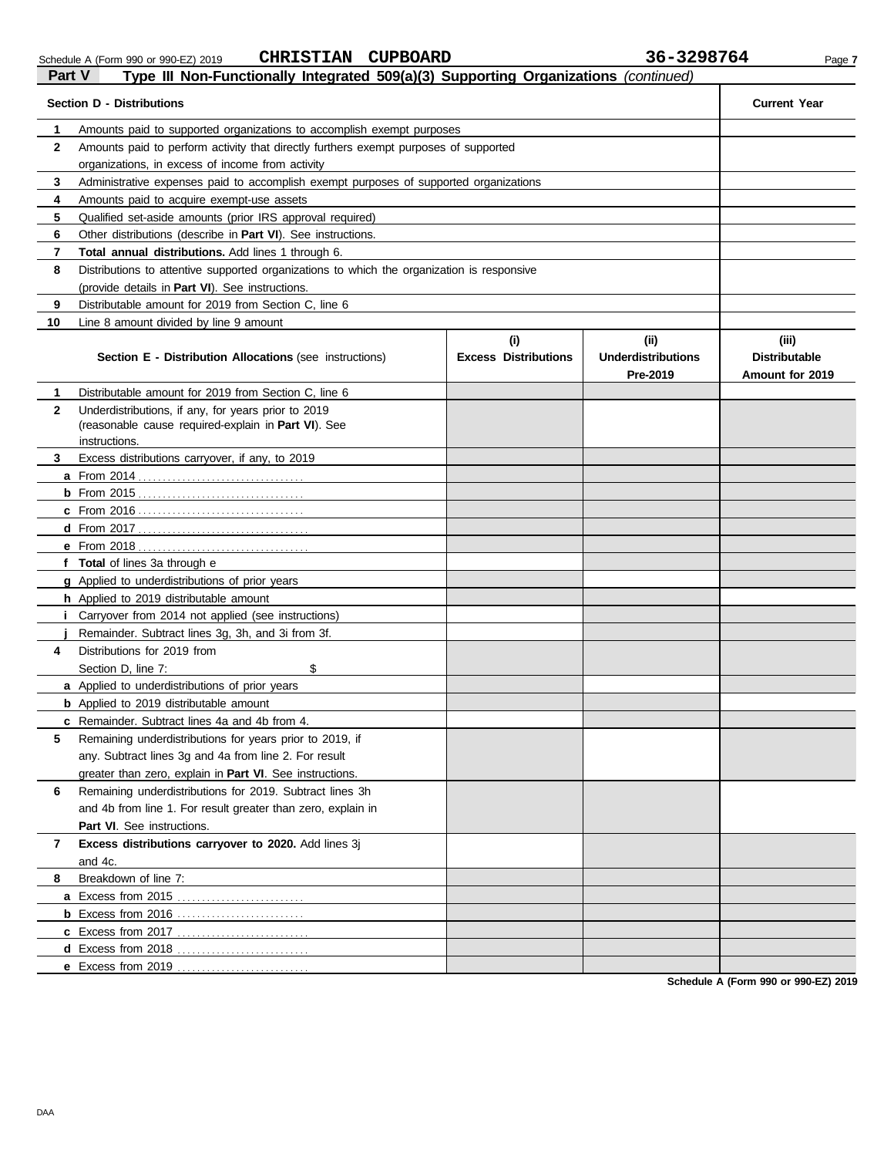# **Schedule A (Form 990 or 990-EZ) 2019 CHRISTIAN CUPBOARD 1998 10 12 136 - 3298764** Page 7

| <b>CHRISTIAN CUPBOARD</b><br>Schedule A (Form 990 or 990-EZ) 2019<br>Part V<br>Type III Non-Functionally Integrated 509(a)(3) Supporting Organizations (continued) |                                                  | 36-3298764                                    | Page 7                                           |  |  |  |  |  |  |
|--------------------------------------------------------------------------------------------------------------------------------------------------------------------|--------------------------------------------------|-----------------------------------------------|--------------------------------------------------|--|--|--|--|--|--|
| <b>Section D - Distributions</b>                                                                                                                                   |                                                  |                                               | <b>Current Year</b>                              |  |  |  |  |  |  |
|                                                                                                                                                                    |                                                  |                                               |                                                  |  |  |  |  |  |  |
| 1<br>Amounts paid to supported organizations to accomplish exempt purposes                                                                                         |                                                  |                                               |                                                  |  |  |  |  |  |  |
| Amounts paid to perform activity that directly furthers exempt purposes of supported<br>$\mathbf{2}$                                                               | organizations, in excess of income from activity |                                               |                                                  |  |  |  |  |  |  |
|                                                                                                                                                                    |                                                  |                                               |                                                  |  |  |  |  |  |  |
| Administrative expenses paid to accomplish exempt purposes of supported organizations<br>3                                                                         |                                                  |                                               |                                                  |  |  |  |  |  |  |
| 4<br>Amounts paid to acquire exempt-use assets                                                                                                                     |                                                  |                                               |                                                  |  |  |  |  |  |  |
| 5<br>Qualified set-aside amounts (prior IRS approval required)                                                                                                     |                                                  |                                               |                                                  |  |  |  |  |  |  |
| 6<br>Other distributions (describe in Part VI). See instructions.                                                                                                  |                                                  |                                               |                                                  |  |  |  |  |  |  |
| 7<br>Total annual distributions. Add lines 1 through 6.                                                                                                            |                                                  |                                               |                                                  |  |  |  |  |  |  |
| 8<br>Distributions to attentive supported organizations to which the organization is responsive                                                                    |                                                  |                                               |                                                  |  |  |  |  |  |  |
| (provide details in Part VI). See instructions.                                                                                                                    |                                                  |                                               |                                                  |  |  |  |  |  |  |
| Distributable amount for 2019 from Section C, line 6<br>9                                                                                                          |                                                  |                                               |                                                  |  |  |  |  |  |  |
| 10<br>Line 8 amount divided by line 9 amount                                                                                                                       |                                                  |                                               |                                                  |  |  |  |  |  |  |
| Section E - Distribution Allocations (see instructions)                                                                                                            | (i)<br><b>Excess Distributions</b>               | (ii)<br><b>Underdistributions</b><br>Pre-2019 | (iii)<br><b>Distributable</b><br>Amount for 2019 |  |  |  |  |  |  |
| Distributable amount for 2019 from Section C. line 6<br>1                                                                                                          |                                                  |                                               |                                                  |  |  |  |  |  |  |
| $\mathbf{2}$<br>Underdistributions, if any, for years prior to 2019                                                                                                |                                                  |                                               |                                                  |  |  |  |  |  |  |
| (reasonable cause required-explain in Part VI). See                                                                                                                |                                                  |                                               |                                                  |  |  |  |  |  |  |
| instructions.                                                                                                                                                      |                                                  |                                               |                                                  |  |  |  |  |  |  |
| Excess distributions carryover, if any, to 2019<br>3                                                                                                               |                                                  |                                               |                                                  |  |  |  |  |  |  |
|                                                                                                                                                                    |                                                  |                                               |                                                  |  |  |  |  |  |  |
|                                                                                                                                                                    |                                                  |                                               |                                                  |  |  |  |  |  |  |
|                                                                                                                                                                    |                                                  |                                               |                                                  |  |  |  |  |  |  |
|                                                                                                                                                                    |                                                  |                                               |                                                  |  |  |  |  |  |  |
|                                                                                                                                                                    |                                                  |                                               |                                                  |  |  |  |  |  |  |
| f Total of lines 3a through e                                                                                                                                      |                                                  |                                               |                                                  |  |  |  |  |  |  |
| g Applied to underdistributions of prior years                                                                                                                     |                                                  |                                               |                                                  |  |  |  |  |  |  |
| h Applied to 2019 distributable amount                                                                                                                             |                                                  |                                               |                                                  |  |  |  |  |  |  |
| Carryover from 2014 not applied (see instructions)                                                                                                                 |                                                  |                                               |                                                  |  |  |  |  |  |  |
| Remainder. Subtract lines 3g, 3h, and 3i from 3f.                                                                                                                  |                                                  |                                               |                                                  |  |  |  |  |  |  |
| Distributions for 2019 from<br>4                                                                                                                                   |                                                  |                                               |                                                  |  |  |  |  |  |  |
| \$<br>Section D, line 7:                                                                                                                                           |                                                  |                                               |                                                  |  |  |  |  |  |  |
| a Applied to underdistributions of prior years                                                                                                                     |                                                  |                                               |                                                  |  |  |  |  |  |  |
| <b>b</b> Applied to 2019 distributable amount                                                                                                                      |                                                  |                                               |                                                  |  |  |  |  |  |  |
| <b>c</b> Remainder. Subtract lines 4a and 4b from 4.                                                                                                               |                                                  |                                               |                                                  |  |  |  |  |  |  |
| Remaining underdistributions for years prior to 2019, if<br>5                                                                                                      |                                                  |                                               |                                                  |  |  |  |  |  |  |
| any. Subtract lines 3g and 4a from line 2. For result                                                                                                              |                                                  |                                               |                                                  |  |  |  |  |  |  |
| greater than zero, explain in Part VI. See instructions.                                                                                                           |                                                  |                                               |                                                  |  |  |  |  |  |  |
| Remaining underdistributions for 2019. Subtract lines 3h<br>6                                                                                                      |                                                  |                                               |                                                  |  |  |  |  |  |  |
| and 4b from line 1. For result greater than zero, explain in                                                                                                       |                                                  |                                               |                                                  |  |  |  |  |  |  |
| Part VI. See instructions.                                                                                                                                         |                                                  |                                               |                                                  |  |  |  |  |  |  |
| Excess distributions carryover to 2020. Add lines 3j<br>7                                                                                                          |                                                  |                                               |                                                  |  |  |  |  |  |  |
| and 4c.                                                                                                                                                            |                                                  |                                               |                                                  |  |  |  |  |  |  |
| Breakdown of line 7:<br>8                                                                                                                                          |                                                  |                                               |                                                  |  |  |  |  |  |  |
|                                                                                                                                                                    |                                                  |                                               |                                                  |  |  |  |  |  |  |
| <b>b</b> Excess from 2016                                                                                                                                          |                                                  |                                               |                                                  |  |  |  |  |  |  |
|                                                                                                                                                                    |                                                  |                                               |                                                  |  |  |  |  |  |  |
| d Excess from 2018.                                                                                                                                                |                                                  |                                               |                                                  |  |  |  |  |  |  |
| e Excess from 2019                                                                                                                                                 |                                                  |                                               |                                                  |  |  |  |  |  |  |

**Schedule A (Form 990 or 990-EZ) 2019**